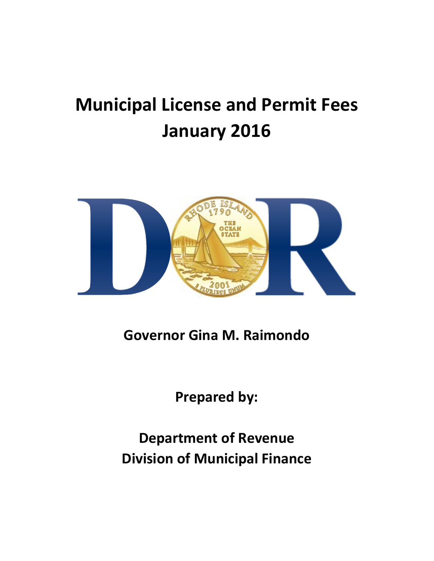# **Municipal License and Permit Fees January 2016**



**Governor Gina M. Raimondo**

**Prepared by:**

**Department of Revenue Division of Municipal Finance**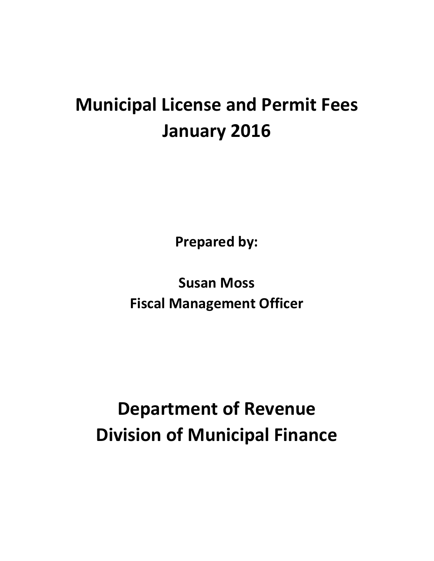## **Municipal License and Permit Fees January 2016**

**Prepared by:**

**Susan Moss Fiscal Management Officer**

## **Department of Revenue Division of Municipal Finance**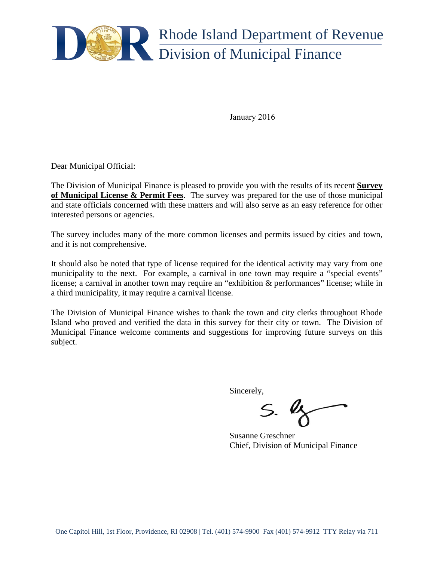

January 2016

Dear Municipal Official:

The Division of Municipal Finance is pleased to provide you with the results of its recent **Survey of Municipal License & Permit Fees**. The survey was prepared for the use of those municipal and state officials concerned with these matters and will also serve as an easy reference for other interested persons or agencies.

The survey includes many of the more common licenses and permits issued by cities and town, and it is not comprehensive.

It should also be noted that type of license required for the identical activity may vary from one municipality to the next. For example, a carnival in one town may require a "special events" license; a carnival in another town may require an "exhibition & performances" license; while in a third municipality, it may require a carnival license.

The Division of Municipal Finance wishes to thank the town and city clerks throughout Rhode Island who proved and verified the data in this survey for their city or town. The Division of Municipal Finance welcome comments and suggestions for improving future surveys on this subject.

Sincerely,

 $S.$  ly

Susanne Greschner Chief, Division of Municipal Finance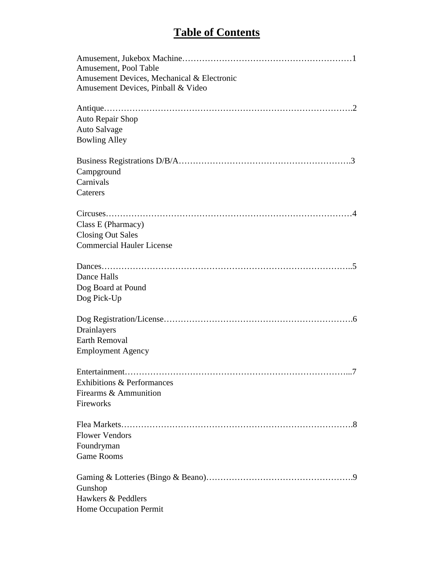#### **Table of Contents**

| Amusement, Pool Table                      |
|--------------------------------------------|
| Amusement Devices, Mechanical & Electronic |
| Amusement Devices, Pinball & Video         |
|                                            |
| Auto Repair Shop                           |
| Auto Salvage                               |
| <b>Bowling Alley</b>                       |
|                                            |
| Campground                                 |
| Carnivals                                  |
| Caterers                                   |
|                                            |
| Class E (Pharmacy)                         |
| <b>Closing Out Sales</b>                   |
| <b>Commercial Hauler License</b>           |
|                                            |
| Dance Halls                                |
| Dog Board at Pound                         |
| Dog Pick-Up                                |
|                                            |
| Drainlayers                                |
| <b>Earth Removal</b>                       |
| <b>Employment Agency</b>                   |
| Entertainment<br>$\mathcal{T}$             |
| <b>Exhibitions &amp; Performances</b>      |
| Firearms & Ammunition                      |
| Fireworks                                  |
|                                            |
| <b>Flower Vendors</b>                      |
| Foundryman                                 |
| <b>Game Rooms</b>                          |
|                                            |
| Gunshop                                    |
| Hawkers & Peddlers                         |
| Home Occupation Permit                     |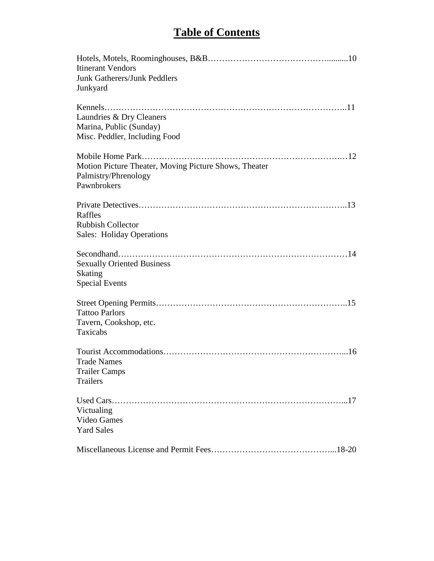#### **Table of Contents**

| <b>Itinerant Vendors</b><br><b>Junk Gatherers/Junk Peddlers</b><br>Junkyard                  |
|----------------------------------------------------------------------------------------------|
| Laundries & Dry Cleaners<br>Marina, Public (Sunday)<br>Misc. Peddler, Including Food         |
| Motion Picture Theater, Moving Picture Shows, Theater<br>Palmistry/Phrenology<br>Pawnbrokers |
| Raffles<br><b>Rubbish Collector</b><br><b>Sales: Holiday Operations</b>                      |
| <b>Sexually Oriented Business</b><br><b>Skating</b><br><b>Special Events</b>                 |
| <b>Tattoo Parlors</b><br>Tavern, Cookshop, etc.<br>Taxicabs                                  |
| <b>Trade Names</b><br><b>Trailer Camps</b><br>Trailers                                       |
| Victualing<br>Video Games<br><b>Yard Sales</b>                                               |
|                                                                                              |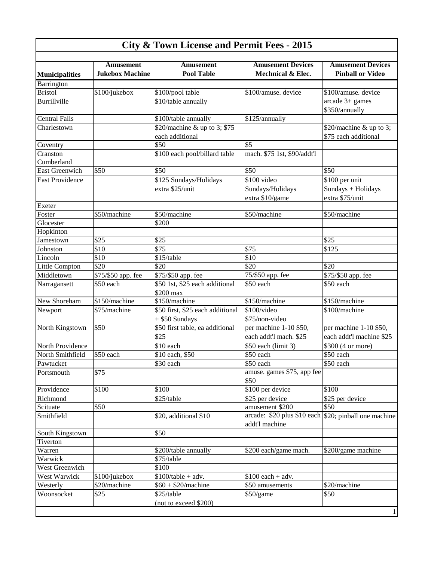| <b>City &amp; Town License and Permit Fees - 2015</b> |                                     |                                             |                                                                         |                                                     |  |
|-------------------------------------------------------|-------------------------------------|---------------------------------------------|-------------------------------------------------------------------------|-----------------------------------------------------|--|
| <b>Municipalities</b>                                 | Amusement<br><b>Jukebox Machine</b> | Amusement<br><b>Pool Table</b>              | <b>Amusement Devices</b><br>Mechnical & Elec.                           | <b>Amusement Devices</b><br><b>Pinball or Video</b> |  |
| Barrington                                            |                                     |                                             |                                                                         |                                                     |  |
| <b>Bristol</b>                                        | \$100/jukebox                       | \$100/pool table                            | \$100/amuse. device                                                     | \$100/amuse. device                                 |  |
| Burrillville                                          |                                     | \$10/table annually                         |                                                                         | $arcade 3+ games$<br>\$350/annually                 |  |
| <b>Central Falls</b>                                  |                                     | \$100/table annually                        | \$125/annually                                                          |                                                     |  |
| Charlestown                                           |                                     | \$20/machine & up to 3; \$75                |                                                                         | \$20/machine & up to 3;                             |  |
|                                                       |                                     | each additional                             |                                                                         | \$75 each additional                                |  |
| Coventry                                              |                                     | \$50                                        | \$5                                                                     |                                                     |  |
| Cranston                                              |                                     | \$100 each pool/billard table               | mach. \$75 1st, \$90/addt'l                                             |                                                     |  |
| Cumberland                                            |                                     |                                             |                                                                         |                                                     |  |
| <b>East Greenwich</b>                                 | \$50                                | \$50                                        | \$50                                                                    | \$50                                                |  |
| <b>East Providence</b>                                |                                     | \$125 Sundays/Holidays                      | \$100 video                                                             | \$100 per unit                                      |  |
|                                                       |                                     | extra \$25/unit                             | Sundays/Holidays                                                        | Sundays + Holidays                                  |  |
|                                                       |                                     |                                             | extra \$10/game                                                         | extra \$75/unit                                     |  |
| Exeter                                                |                                     |                                             |                                                                         |                                                     |  |
| Foster                                                | \$50/machine                        | \$50/machine                                | \$50/machine                                                            | \$50/machine                                        |  |
| Glocester                                             |                                     | \$200                                       |                                                                         |                                                     |  |
| Hopkinton                                             |                                     |                                             |                                                                         |                                                     |  |
| Jamestown                                             | \$25                                | \$25                                        |                                                                         | \$25                                                |  |
| Johnston                                              | \$10                                | \$75                                        | \$75                                                                    | \$125                                               |  |
| Lincoln                                               | \$10                                | \$15/table                                  | \$10                                                                    |                                                     |  |
| Little Compton                                        | \$20                                | \$20                                        | \$20                                                                    | \$20                                                |  |
| Middletown                                            | \$75/\$50 app. fee                  | \$75/\$50 app. fee                          | 75/\$50 app. fee                                                        | \$75/\$50 app. fee                                  |  |
| Narragansett                                          | \$50 each                           | \$50 1st, \$25 each additional<br>\$200 max | \$50 each                                                               | \$50 each                                           |  |
| New Shoreham                                          | \$150/machine                       | \$150/machine                               | \$150/machine                                                           | \$150/machine                                       |  |
| Newport                                               | \$75/machine                        | \$50 first, \$25 each additional            | \$100/video                                                             | \$100/machine                                       |  |
|                                                       |                                     | $+$ \$50 Sundays                            | \$75/non-video                                                          |                                                     |  |
| North Kingstown                                       | \$50                                | \$50 first table, ea additional             | per machine 1-10 \$50,                                                  | per machine 1-10 \$50,                              |  |
|                                                       |                                     | \$25                                        | each addt'l mach. \$25                                                  | each addt'l machine \$25                            |  |
| North Providence                                      |                                     | \$10 each                                   | \$50 each (limit 3)                                                     | \$300 (4 or more)                                   |  |
| North Smithfield                                      | \$50 each                           | \$10 each, \$50                             | \$50 each                                                               | \$50 each                                           |  |
| Pawtucket                                             |                                     | \$30 each                                   | \$50 each                                                               | \$50 each                                           |  |
| Portsmouth                                            | \$75                                |                                             | amuse. games \$75, app fee                                              |                                                     |  |
|                                                       |                                     |                                             | \$50                                                                    |                                                     |  |
| Providence                                            | \$100                               | \$100                                       | \$100 per device                                                        | \$100                                               |  |
| Richmond                                              |                                     | \$25/table                                  | \$25 per device                                                         | \$25 per device                                     |  |
| Scituate                                              | \$50                                |                                             | amusement \$200                                                         | \$50                                                |  |
| Smithfield                                            |                                     | \$20, additional \$10                       | arcade: \$20 plus \$10 each \$20; pinball one machine<br>addt'l machine |                                                     |  |
| South Kingstown                                       |                                     | \$50                                        |                                                                         |                                                     |  |
| Tiverton                                              |                                     |                                             |                                                                         |                                                     |  |
| Warren                                                |                                     | \$200/table annually                        | \$200 each/game mach.                                                   | \$200/game machine                                  |  |
| Warwick                                               |                                     | \$75/table                                  |                                                                         |                                                     |  |
| West Greenwich                                        |                                     | \$100                                       |                                                                         |                                                     |  |
| West Warwick                                          | \$100/jukebox                       | $$100$ /table + adv.                        | $$100$ each + adv.                                                      |                                                     |  |
| Westerly                                              | \$20/machine                        | $$60 + $20/m \text{achine}$                 | \$50 amusements                                                         | \$20/machine                                        |  |
| Woonsocket                                            | \$25                                | \$25/table                                  | \$50/game                                                               | \$50                                                |  |
|                                                       |                                     | (not to exceed \$200)                       |                                                                         | 1                                                   |  |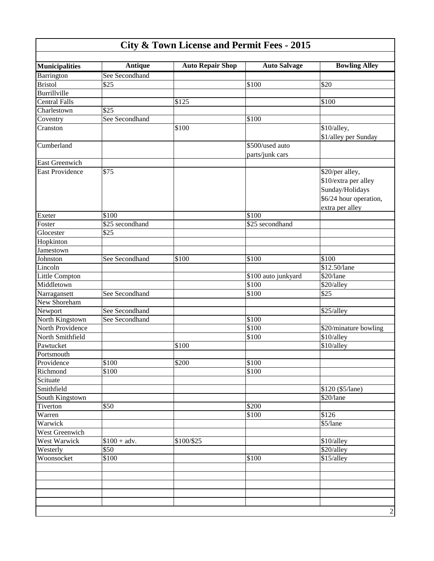| <b>Municipalities</b>      | <b>Antique</b>  | <b>Auto Repair Shop</b> | <b>Auto Salvage</b> | <b>Bowling Alley</b>                                                                                    |
|----------------------------|-----------------|-------------------------|---------------------|---------------------------------------------------------------------------------------------------------|
| Barrington                 | See Secondhand  |                         |                     |                                                                                                         |
| <b>Bristol</b>             | \$25            |                         | \$100               | \$20                                                                                                    |
| Burrillville               |                 |                         |                     |                                                                                                         |
| <b>Central Falls</b>       |                 | \$125                   |                     | \$100                                                                                                   |
| Charlestown                | \$25            |                         |                     |                                                                                                         |
| Coventry                   | See Secondhand  |                         | \$100               |                                                                                                         |
| Cranston                   |                 | \$100                   |                     | \$10/alley,                                                                                             |
|                            |                 |                         |                     | \$1/alley per Sunday                                                                                    |
| Cumberland                 |                 |                         | \$500/used auto     |                                                                                                         |
|                            |                 |                         | parts/junk cars     |                                                                                                         |
| <b>East Greenwich</b>      |                 |                         |                     |                                                                                                         |
| <b>East Providence</b>     | \$75            |                         |                     | \$20/per alley,<br>\$10/extra per alley<br>Sunday/Holidays<br>\$6/24 hour operation,<br>extra per alley |
| Exeter                     | \$100           |                         | \$100               |                                                                                                         |
| Foster                     | \$25 secondhand |                         | \$25 secondhand     |                                                                                                         |
| Glocester                  | \$25            |                         |                     |                                                                                                         |
| Hopkinton                  |                 |                         |                     |                                                                                                         |
| Jamestown                  |                 |                         |                     |                                                                                                         |
| Johnston                   | See Secondhand  | \$100                   | \$100               | \$100                                                                                                   |
| Lincoln                    |                 |                         |                     | \$12.50/lane                                                                                            |
| <b>Little Compton</b>      |                 |                         | \$100 auto junkyard | \$20/lane                                                                                               |
| Middletown                 |                 |                         | \$100               | \$20/alley                                                                                              |
| Narragansett               | See Secondhand  |                         | \$100               | \$25                                                                                                    |
| New Shoreham               |                 |                         |                     |                                                                                                         |
|                            | See Secondhand  |                         |                     |                                                                                                         |
| Newport<br>North Kingstown | See Secondhand  |                         | $\overline{$}100$   | \$25/alley                                                                                              |
| North Providence           |                 |                         | \$100               |                                                                                                         |
| North Smithfield           |                 |                         | \$100               | \$20/minature bowling                                                                                   |
| Pawtucket                  |                 | \$100                   |                     | \$10/alley                                                                                              |
|                            |                 |                         |                     | \$10/alley                                                                                              |
| Portsmouth                 |                 |                         |                     |                                                                                                         |
| Providence                 | \$100           | \$200                   | \$100               |                                                                                                         |
| Richmond                   | \$100           |                         | \$100               |                                                                                                         |
| Scituate                   |                 |                         |                     |                                                                                                         |
| Smithfield                 |                 |                         |                     | \$120 (\$5/lane)                                                                                        |
| South Kingstown            |                 |                         |                     | \$20/lane                                                                                               |
| Tiverton                   | \$50            |                         | $\overline{$}200$   |                                                                                                         |
| Warren                     |                 |                         | \$100               | \$126                                                                                                   |
| Warwick                    |                 |                         |                     | \$5/lane                                                                                                |
| West Greenwich             |                 |                         |                     |                                                                                                         |
| West Warwick               | $$100 + adv.$   | \$100/\$25              |                     | \$10/alley                                                                                              |
| Westerly                   | \$50            |                         |                     | \$20/alley                                                                                              |
| Woonsocket                 | \$100           |                         | \$100               | \$15/alley                                                                                              |
|                            |                 |                         |                     |                                                                                                         |
|                            |                 |                         |                     |                                                                                                         |
|                            |                 |                         |                     |                                                                                                         |
|                            |                 |                         |                     |                                                                                                         |
|                            |                 |                         |                     |                                                                                                         |
|                            |                 |                         |                     | $\sqrt{2}$                                                                                              |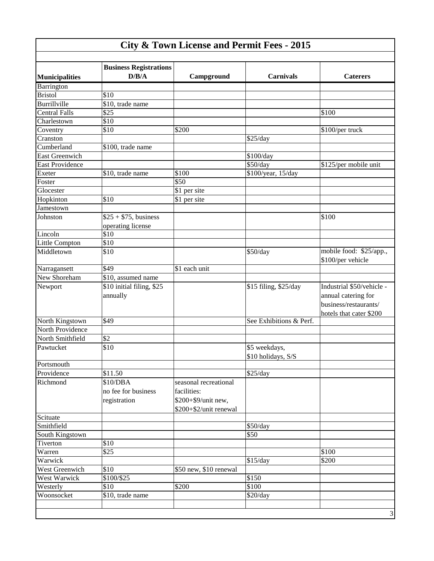| <b>City &amp; Town License and Permit Fees - 2015</b> |                                        |                        |                         |                                              |  |
|-------------------------------------------------------|----------------------------------------|------------------------|-------------------------|----------------------------------------------|--|
| <b>Municipalities</b>                                 | <b>Business Registrations</b><br>D/B/A | Campground             | <b>Carnivals</b>        | <b>Caterers</b>                              |  |
| Barrington                                            |                                        |                        |                         |                                              |  |
| <b>Bristol</b>                                        | \$10                                   |                        |                         |                                              |  |
| Burrillville                                          | \$10, trade name                       |                        |                         |                                              |  |
| <b>Central Falls</b>                                  | \$25                                   |                        |                         | \$100                                        |  |
| Charlestown                                           | \$10                                   |                        |                         |                                              |  |
| Coventry                                              | \$10                                   | \$200                  |                         | \$100/per truck                              |  |
| Cranston                                              |                                        |                        | \$25/day                |                                              |  |
| Cumberland                                            | \$100, trade name                      |                        |                         |                                              |  |
| <b>East Greenwich</b>                                 |                                        |                        | \$100/day               |                                              |  |
| <b>East Providence</b>                                |                                        |                        | \$50/day                | \$125/per mobile unit                        |  |
| Exeter                                                | \$10, trade name                       | \$100                  | \$100/year, 15/day      |                                              |  |
| Foster                                                |                                        | $\overline{$}50$       |                         |                                              |  |
| Glocester                                             |                                        | \$1 per site           |                         |                                              |  |
| Hopkinton                                             | \$10                                   | \$1 per site           |                         |                                              |  |
| Jamestown                                             |                                        |                        |                         |                                              |  |
| Johnston                                              | $$25 + $75$ , business                 |                        |                         | \$100                                        |  |
|                                                       | operating license                      |                        |                         |                                              |  |
| Lincoln                                               | \$10                                   |                        |                         |                                              |  |
| Little Compton                                        | \$10                                   |                        |                         |                                              |  |
| Middletown                                            | \$10                                   |                        | \$50/day                | mobile food: \$25/app.,<br>\$100/per vehicle |  |
| Narragansett                                          | \$49                                   | \$1 each unit          |                         |                                              |  |
| New Shoreham                                          | \$10, assumed name                     |                        |                         |                                              |  |
| Newport                                               | \$10 initial filing, \$25              |                        | \$15 filing, \$25/day   | Industrial \$50/vehicle -                    |  |
|                                                       | annually                               |                        |                         | annual catering for                          |  |
|                                                       |                                        |                        |                         | business/restaurants/                        |  |
|                                                       |                                        |                        |                         | hotels that cater \$200                      |  |
| North Kingstown                                       | \$49                                   |                        | See Exhibitions & Perf. |                                              |  |
| North Providence                                      |                                        |                        |                         |                                              |  |
| North Smithfield                                      | \$2                                    |                        |                         |                                              |  |
| Pawtucket                                             | \$10                                   |                        | \$5 weekdays,           |                                              |  |
|                                                       |                                        |                        | \$10 holidays, S/S      |                                              |  |
| Portsmouth                                            |                                        |                        |                         |                                              |  |
| Providence                                            | \$11.50                                |                        | \$25/day                |                                              |  |
| Richmond                                              | \$10/DBA                               | seasonal recreational  |                         |                                              |  |
|                                                       | no fee for business                    | facilities:            |                         |                                              |  |
|                                                       | registration                           | \$200+\$9/unit new,    |                         |                                              |  |
|                                                       |                                        | \$200+\$2/unit renewal |                         |                                              |  |
| Scituate                                              |                                        |                        |                         |                                              |  |
| Smithfield                                            |                                        |                        | \$50/day                |                                              |  |
| South Kingstown                                       |                                        |                        | \$50                    |                                              |  |
| Tiverton                                              | \$10                                   |                        |                         |                                              |  |
| Warren                                                | \$25                                   |                        |                         | \$100                                        |  |
| Warwick                                               |                                        |                        | \$15/day                | \$200                                        |  |
| West Greenwich                                        | \$10                                   | \$50 new, \$10 renewal |                         |                                              |  |
| West Warwick                                          | \$100/\$25                             |                        | \$150                   |                                              |  |
| Westerly                                              | \$10                                   | \$200                  | \$100                   |                                              |  |
| Woonsocket                                            | \$10, trade name                       |                        | \$20/day                |                                              |  |
|                                                       |                                        |                        |                         |                                              |  |
|                                                       |                                        |                        |                         | $\ensuremath{\mathfrak{Z}}$                  |  |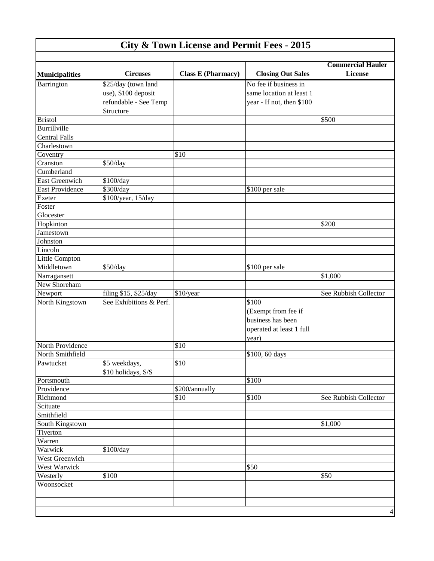| <b>City &amp; Town License and Permit Fees - 2015</b> |                                                                                  |                           |                                                                                        |                                            |  |
|-------------------------------------------------------|----------------------------------------------------------------------------------|---------------------------|----------------------------------------------------------------------------------------|--------------------------------------------|--|
| <b>Municipalities</b>                                 | <b>Circuses</b>                                                                  | <b>Class E (Pharmacy)</b> | <b>Closing Out Sales</b>                                                               | <b>Commercial Hauler</b><br><b>License</b> |  |
| Barrington                                            | \$25/day (town land<br>use), \$100 deposit<br>refundable - See Temp<br>Structure |                           | No fee if business in<br>same location at least 1<br>year - If not, then \$100         |                                            |  |
| <b>Bristol</b>                                        |                                                                                  |                           |                                                                                        | \$500                                      |  |
| Burrillville                                          |                                                                                  |                           |                                                                                        |                                            |  |
| <b>Central Falls</b>                                  |                                                                                  |                           |                                                                                        |                                            |  |
| Charlestown                                           |                                                                                  |                           |                                                                                        |                                            |  |
| Coventry                                              |                                                                                  | $\overline{\$10}$         |                                                                                        |                                            |  |
| Cranston                                              | \$50/day                                                                         |                           |                                                                                        |                                            |  |
| Cumberland                                            |                                                                                  |                           |                                                                                        |                                            |  |
| <b>East Greenwich</b>                                 | \$100/day                                                                        |                           |                                                                                        |                                            |  |
| <b>East Providence</b>                                | \$300/day                                                                        |                           | \$100 per sale                                                                         |                                            |  |
| Exeter                                                | \$100/year, 15/day                                                               |                           |                                                                                        |                                            |  |
| Foster                                                |                                                                                  |                           |                                                                                        |                                            |  |
| Glocester                                             |                                                                                  |                           |                                                                                        |                                            |  |
| Hopkinton                                             |                                                                                  |                           |                                                                                        | \$200                                      |  |
| Jamestown                                             |                                                                                  |                           |                                                                                        |                                            |  |
| Johnston                                              |                                                                                  |                           |                                                                                        |                                            |  |
| Lincoln                                               |                                                                                  |                           |                                                                                        |                                            |  |
| Little Compton                                        |                                                                                  |                           |                                                                                        |                                            |  |
| Middletown                                            | \$50/day                                                                         |                           | \$100 per sale                                                                         |                                            |  |
| Narragansett                                          |                                                                                  |                           |                                                                                        | \$1,000                                    |  |
| New Shoreham                                          |                                                                                  |                           |                                                                                        |                                            |  |
| Newport                                               | filing \$15, \$25/day                                                            | \$10/year                 |                                                                                        | See Rubbish Collector                      |  |
| North Kingstown                                       | See Exhibitions & Perf.                                                          |                           | \$100<br>(Exempt from fee if<br>business has been<br>operated at least 1 full<br>year) |                                            |  |
| North Providence                                      |                                                                                  | \$10                      |                                                                                        |                                            |  |
| North Smithfield                                      |                                                                                  |                           | $$100, 60$ days                                                                        |                                            |  |
| Pawtucket                                             | \$5 weekdays,<br>\$10 holidays, S/S                                              | \$10                      |                                                                                        |                                            |  |
| Portsmouth                                            |                                                                                  |                           | \$100                                                                                  |                                            |  |
| Providence                                            |                                                                                  | \$200/annually            |                                                                                        |                                            |  |
| Richmond                                              |                                                                                  | $\overline{$}10$          | \$100                                                                                  | See Rubbish Collector                      |  |
| Scituate                                              |                                                                                  |                           |                                                                                        |                                            |  |
| Smithfield                                            |                                                                                  |                           |                                                                                        |                                            |  |
| South Kingstown                                       |                                                                                  |                           |                                                                                        | \$1,000                                    |  |
| Tiverton                                              |                                                                                  |                           |                                                                                        |                                            |  |
| Warren                                                |                                                                                  |                           |                                                                                        |                                            |  |
| Warwick                                               | \$100/day                                                                        |                           |                                                                                        |                                            |  |
| West Greenwich                                        |                                                                                  |                           |                                                                                        |                                            |  |
| West Warwick                                          |                                                                                  |                           | \$50                                                                                   |                                            |  |
| Westerly                                              | \$100                                                                            |                           |                                                                                        | \$50                                       |  |
| Woonsocket                                            |                                                                                  |                           |                                                                                        |                                            |  |
|                                                       |                                                                                  |                           |                                                                                        |                                            |  |
|                                                       |                                                                                  |                           |                                                                                        |                                            |  |
|                                                       |                                                                                  |                           |                                                                                        | $\overline{4}$                             |  |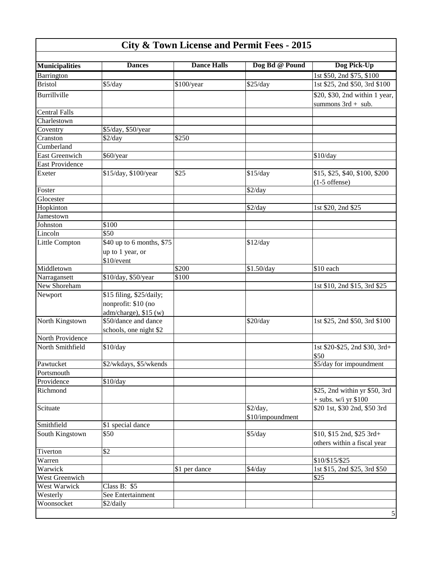| <b>Municipalities</b>  | <b>Dances</b>             | <b>Dance Halls</b> | Dog Bd @ Pound   | Dog Pick-Up                    |
|------------------------|---------------------------|--------------------|------------------|--------------------------------|
| <b>Barrington</b>      |                           |                    |                  | 1st \$50, 2nd \$75, \$100      |
| <b>Bristol</b>         | \$5/day                   | \$100/year         | \$25/day         | 1st \$25, 2nd \$50, 3rd \$100  |
| Burrillville           |                           |                    |                  | \$20, \$30, 2nd within 1 year, |
|                        |                           |                    |                  | summons $3rd + sub$ .          |
| <b>Central Falls</b>   |                           |                    |                  |                                |
| Charlestown            |                           |                    |                  |                                |
| Coventry               | \$5/day, \$50/year        |                    |                  |                                |
| Cranston               | \$2/day                   | \$250              |                  |                                |
| Cumberland             |                           |                    |                  |                                |
| <b>East Greenwich</b>  | \$60/year                 |                    |                  | \$10/day                       |
| <b>East Providence</b> |                           |                    |                  |                                |
| Exeter                 | \$15/day, \$100/year      | \$25               | \$15/day         | \$15, \$25, \$40, \$100, \$200 |
|                        |                           |                    |                  | $(1-5$ offense)                |
| Foster                 |                           |                    | \$2/day          |                                |
| Glocester              |                           |                    |                  |                                |
| Hopkinton              |                           |                    | \$2/day          | 1st \$20, 2nd \$25             |
| Jamestown              |                           |                    |                  |                                |
| Johnston               | \$100                     |                    |                  |                                |
| Lincoln                | \$50                      |                    |                  |                                |
| Little Compton         | \$40 up to 6 months, \$75 |                    | \$12/day         |                                |
|                        | up to 1 year, or          |                    |                  |                                |
|                        | \$10/event                |                    |                  |                                |
| Middletown             |                           | \$200              | \$1.50/day       | \$10 each                      |
| Narragansett           | \$10/day, \$50/year       | \$100              |                  |                                |
| New Shoreham           |                           |                    |                  | 1st \$10, 2nd \$15, 3rd \$25   |
| Newport                | \$15 filing, \$25/daily;  |                    |                  |                                |
|                        | nonprofit: \$10 (no       |                    |                  |                                |
|                        | $adm/charge)$ , \$15 (w)  |                    |                  |                                |
| North Kingstown        | \$50/dance and dance      |                    | \$20/day         | 1st \$25, 2nd \$50, 3rd \$100  |
|                        | schools, one night \$2    |                    |                  |                                |
| North Providence       |                           |                    |                  |                                |
| North Smithfield       | \$10/day                  |                    |                  | 1st \$20-\$25, 2nd \$30, 3rd+  |
|                        |                           |                    |                  | \$50                           |
| Pawtucket              | \$2/wkdays, \$5/wkends    |                    |                  | \$5/day for impoundment        |
| Portsmouth             |                           |                    |                  |                                |
| Providence             | \$10/day                  |                    |                  |                                |
| Richmond               |                           |                    |                  | \$25, 2nd within yr \$50, 3rd  |
|                        |                           |                    |                  | $+$ subs. w/i yr \$100         |
| Scituate               |                           |                    | \$2/day,         | \$20 1st, \$30 2nd, \$50 3rd   |
|                        |                           |                    | \$10/impoundment |                                |
| Smithfield             | \$1 special dance         |                    |                  |                                |
| South Kingstown        | \$50                      |                    | \$5/day          | \$10, \$15 2nd, \$25 3rd+      |
|                        |                           |                    |                  | others within a fiscal year    |
| Tiverton               | \$2                       |                    |                  |                                |
| Warren                 |                           |                    |                  | \$10/\$15/\$25                 |
| Warwick                |                           | \$1 per dance      | \$4/day          | 1st \$15, 2nd \$25, 3rd \$50   |
| West Greenwich         |                           |                    |                  | \$25                           |
| <b>West Warwick</b>    | Class B: \$5              |                    |                  |                                |
| Westerly               | See Entertainment         |                    |                  |                                |
| Woonsocket             | \$2/daily                 |                    |                  |                                |
|                        |                           |                    |                  | $\mathfrak s$                  |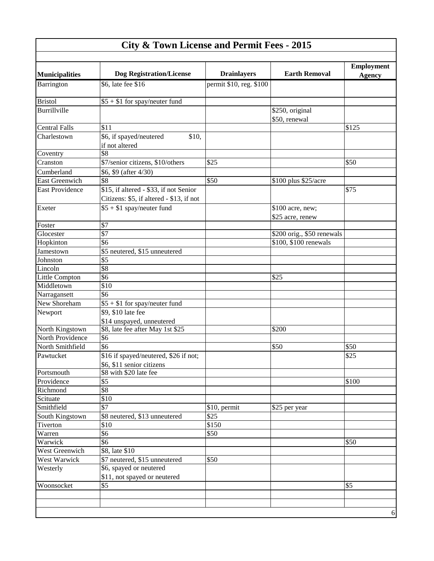| <b>Municipalities</b>  | <b>Dog Registration/License</b>                    | <b>Drainlayers</b>      | <b>Earth Removal</b>       | <b>Employment</b><br><b>Agency</b> |
|------------------------|----------------------------------------------------|-------------------------|----------------------------|------------------------------------|
| Barrington             | \$6, late fee \$16                                 | permit \$10, reg. \$100 |                            |                                    |
| <b>Bristol</b>         | $$5 + $1$ for spay/neuter fund                     |                         |                            |                                    |
| Burrillville           |                                                    |                         | \$250, original            |                                    |
|                        |                                                    |                         | \$50, renewal              |                                    |
| <b>Central Falls</b>   | \$11                                               |                         |                            | \$125                              |
| Charlestown            | \$6, if spayed/neutered<br>\$10,<br>if not altered |                         |                            |                                    |
| Coventry               | \$8                                                |                         |                            |                                    |
| Cranston               | \$7/senior citizens, \$10/others                   | \$25                    |                            | \$50                               |
| Cumberland             | \$6, \$9 (after 4/30)                              |                         |                            |                                    |
| <b>East Greenwich</b>  | \$8                                                | \$50                    | \$100 plus \$25/acre       |                                    |
| <b>East Providence</b> | \$15, if altered - \$33, if not Senior             |                         |                            | \$75                               |
|                        | Citizens: \$5, if altered - \$13, if not           |                         |                            |                                    |
| Exeter                 | $$5 + $1$ spay/neuter fund                         |                         | \$100 acre, new;           |                                    |
|                        |                                                    |                         |                            |                                    |
| Foster                 | \$7                                                |                         | \$25 acre, renew           |                                    |
| Glocester              | $\overline{\$7}$                                   |                         | \$200 orig., \$50 renewals |                                    |
| Hopkinton              | \$6                                                |                         | \$100, \$100 renewals      |                                    |
| Jamestown              | \$5 neutered, \$15 unneutered                      |                         |                            |                                    |
| Johnston               | \$5                                                |                         |                            |                                    |
| Lincoln                | \$8                                                |                         |                            |                                    |
| Little Compton         | \$6                                                |                         | \$25                       |                                    |
| Middletown             | \$10                                               |                         |                            |                                    |
| Narragansett           | \$6                                                |                         |                            |                                    |
| New Shoreham           | $$5 + $1$ for spay/neuter fund                     |                         |                            |                                    |
| Newport                | \$9, \$10 late fee                                 |                         |                            |                                    |
|                        | \$14 unspayed, unneutered                          |                         |                            |                                    |
| North Kingstown        | \$8, late fee after May 1st \$25                   |                         | \$200                      |                                    |
| North Providence       | \$6                                                |                         |                            |                                    |
| North Smithfield       | \$6                                                |                         | \$50                       | \$50                               |
| Pawtucket              | \$16 if spayed/neutered, \$26 if not;              |                         |                            | \$25                               |
|                        | \$6, \$11 senior citizens                          |                         |                            |                                    |
| Portsmouth             | \$8 with \$20 late fee                             |                         |                            |                                    |
| Providence             | \$5                                                |                         |                            | \$100                              |
| Richmond               | $\overline{\$8}$                                   |                         |                            |                                    |
| Scituate               | \$10                                               |                         |                            |                                    |
| Smithfield             | $\overline{\$7}$                                   | \$10, permit            | \$25 per year              |                                    |
| South Kingstown        | \$8 neutered, \$13 unneutered                      | \$25                    |                            |                                    |
| Tiverton               | \$10                                               | \$150                   |                            |                                    |
| Warren                 | \$6                                                | \$50                    |                            |                                    |
| Warwick                | \$6                                                |                         |                            | \$50                               |
| West Greenwich         | \$8, late \$10                                     |                         |                            |                                    |
| West Warwick           | \$7 neutered, \$15 unneutered                      | \$50                    |                            |                                    |
| Westerly               | \$6, spayed or neutered                            |                         |                            |                                    |
|                        | \$11, not spayed or neutered                       |                         |                            |                                    |
| Woonsocket             | \$5                                                |                         |                            | \$5                                |
|                        |                                                    |                         |                            |                                    |
|                        |                                                    |                         |                            |                                    |
|                        |                                                    |                         |                            | $\sqrt{6}$                         |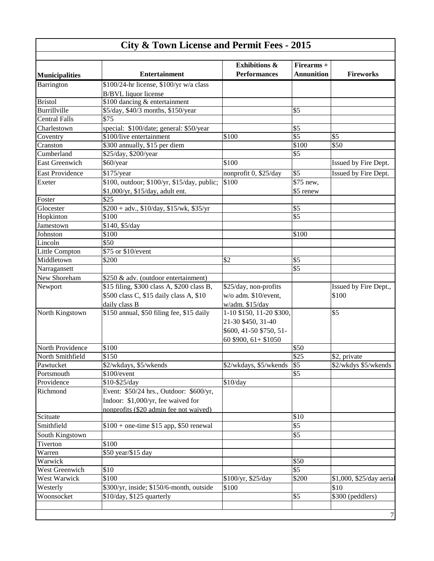$\overline{\phantom{a}}$ 

|                        |                                             | <b>Exhibitions &amp;</b> | Firearms +        |                          |
|------------------------|---------------------------------------------|--------------------------|-------------------|--------------------------|
| <b>Municipalities</b>  | <b>Entertainment</b>                        | <b>Performances</b>      | <b>Annunition</b> | <b>Fireworks</b>         |
| Barrington             | \$100/24-hr license, \$100/yr w/a class     |                          |                   |                          |
|                        | <b>B/BVL</b> liquor license                 |                          |                   |                          |
| <b>Bristol</b>         | \$100 dancing & entertainment               |                          |                   |                          |
| Burrillville           | \$5/day, \$40/3 months, \$150/year          |                          | \$5               |                          |
| <b>Central Falls</b>   | \$75                                        |                          |                   |                          |
| Charlestown            | special: \$100/date; general: \$50/year     |                          | \$5               |                          |
| Coventry               | \$100/live entertainment                    | \$100                    | $\sqrt{$5}$       | \$5                      |
| Cranston               | \$300 annually, \$15 per diem               |                          | \$100             | \$50                     |
| Cumberland             | \$25/day, \$200/year                        |                          | \$5               |                          |
| <b>East Greenwich</b>  | \$60/year                                   | \$100                    |                   | Issued by Fire Dept.     |
| <b>East Providence</b> | \$175/year                                  | nonprofit 0, \$25/day    | \$5               | Issued by Fire Dept.     |
| Exeter                 | \$100, outdoor; \$100/yr, \$15/day, public; | \$100                    | \$75 new,         |                          |
|                        | \$1,000/yr, \$15/day, adult ent.            |                          | \$5 renew         |                          |
| Foster                 | \$25                                        |                          |                   |                          |
| Glocester              | $$200 + adv., $10/day, $15/wk, $35/yr$      |                          | \$5               |                          |
| Hopkinton              | \$100                                       |                          | \$5               |                          |
| <b>Jamestown</b>       | \$140, \$5/day                              |                          |                   |                          |
| Johnston               | \$100                                       |                          | \$100             |                          |
| Lincoln                | \$50                                        |                          |                   |                          |
| <b>Little Compton</b>  | \$75 or \$10/event                          |                          |                   |                          |
| Middletown             | \$200                                       | \$2                      | \$5               |                          |
| Narragansett           |                                             |                          | \$5               |                          |
| New Shoreham           | \$250 & adv. (outdoor entertainment)        |                          |                   |                          |
| Newport                | \$15 filing, \$300 class A, \$200 class B,  | \$25/day, non-profits    |                   | Issued by Fire Dept.,    |
|                        | \$500 class C, \$15 daily class A, \$10     | w/o adm. \$10/event,     |                   | \$100                    |
|                        | daily class B                               | w/adm. \$15/day          |                   |                          |
| North Kingstown        | \$150 annual, \$50 filing fee, \$15 daily   | 1-10 \$150, 11-20 \$300, |                   | \$5                      |
|                        |                                             | 21-30 \$450, 31-40       |                   |                          |
|                        |                                             | \$600, 41-50 \$750, 51-  |                   |                          |
|                        |                                             | 60 \$900, $61 + $1050$   |                   |                          |
| North Providence       | \$100                                       |                          | \$50              |                          |
| North Smithfield       | \$150                                       |                          | \$25              | \$2, private             |
| Pawtucket              | \$2/wkdays, \$5/wkends                      | \$2/wkdays, \$5/wkends   | \$5               | \$2/wkdys \$5/wkends     |
| Portsmouth             | \$100/event                                 |                          | \$5               |                          |
| Providence             | \$10-\$25/day                               | \$10/day                 |                   |                          |
| Richmond               | Event: \$50/24 hrs., Outdoor: \$600/yr,     |                          |                   |                          |
|                        | Indoor: \$1,000/yr, fee waived for          |                          |                   |                          |
|                        | nonprofits (\$20 admin fee not waived)      |                          |                   |                          |
| Scituate               |                                             |                          | \$10              |                          |
| Smithfield             | $$100 + one-time $15 app, $50 renewal$      |                          | \$5               |                          |
| South Kingstown        |                                             |                          | \$5               |                          |
| Tiverton               | \$100                                       |                          |                   |                          |
| Warren                 | \$50 year/\$15 day                          |                          |                   |                          |
| Warwick                |                                             |                          | \$50              |                          |
| West Greenwich         | \$10                                        |                          | $\overline{\$5}$  |                          |
| West Warwick           | \$100                                       | \$100/yr, \$25/day       | \$200             | \$1,000, \$25/day aerial |
| Westerly               | \$300/yr, inside; \$150/6-month, outside    | \$100                    |                   | \$10                     |
| Woonsocket             | \$10/day, \$125 quarterly                   |                          | \$5               | \$300 (peddlers)         |
|                        |                                             |                          |                   |                          |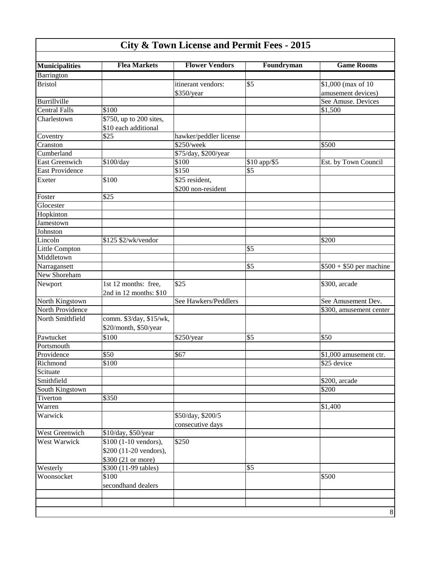| <b>City &amp; Town License and Permit Fees - 2015</b> |  |  |  |  |  |  |  |
|-------------------------------------------------------|--|--|--|--|--|--|--|
|-------------------------------------------------------|--|--|--|--|--|--|--|

| <b>Municipalities</b> | <b>Flea Markets</b>     | <b>Flower Vendors</b>  | Foundryman   | <b>Game Rooms</b>        |
|-----------------------|-------------------------|------------------------|--------------|--------------------------|
| Barrington            |                         |                        |              |                          |
| <b>Bristol</b>        |                         | itinerant vendors:     | \$5          | \$1,000 (max of 10       |
|                       |                         | \$350/year             |              | amusement devices)       |
| Burrillville          |                         |                        |              | See Amuse. Devices       |
| <b>Central Falls</b>  | \$100                   |                        |              | \$1,500                  |
| Charlestown           | \$750, up to 200 sites, |                        |              |                          |
|                       | \$10 each additional    |                        |              |                          |
| Coventry              | \$25                    | hawker/peddler license |              |                          |
| Cranston              |                         | \$250/week             |              | \$500                    |
| Cumberland            |                         | \$75/day, \$200/year   |              |                          |
| East Greenwich        | \$100/day               | \$100                  | \$10 app/\$5 | Est. by Town Council     |
| East Providence       |                         | \$150                  | \$5          |                          |
| Exeter                | \$100                   | \$25 resident,         |              |                          |
|                       |                         | \$200 non-resident     |              |                          |
| Foster                | \$25                    |                        |              |                          |
| Glocester             |                         |                        |              |                          |
| Hopkinton             |                         |                        |              |                          |
| Jamestown             |                         |                        |              |                          |
| Johnston              |                         |                        |              |                          |
| Lincoln               | \$125 \$2/wk/vendor     |                        |              | \$200                    |
| <b>Little Compton</b> |                         |                        | \$5          |                          |
| Middletown            |                         |                        |              |                          |
| Narragansett          |                         |                        | \$5          | $$500 + $50$ per machine |
| New Shoreham          |                         |                        |              |                          |
| Newport               | 1st 12 months: free,    | \$25                   |              | \$300, arcade            |
|                       | 2nd in 12 months: \$10  |                        |              |                          |
| North Kingstown       |                         | See Hawkers/Peddlers   |              | See Amusement Dev.       |
| North Providence      |                         |                        |              | \$300, amusement center  |
| North Smithfield      | comm. \$3/day, \$15/wk, |                        |              |                          |
|                       | \$20/month, \$50/year   |                        |              |                          |
| Pawtucket             | \$100                   | \$250/year             | \$5          | \$50                     |
| Portsmouth            |                         |                        |              |                          |
| Providence            | \$50                    | \$67                   |              | \$1,000 amusement ctr.   |
| Richmond              | \$100                   |                        |              | \$25 device              |
| Scituate              |                         |                        |              |                          |
| Smithfield            |                         |                        |              | \$200, arcade            |
| South Kingstown       |                         |                        |              | \$200                    |
| Tiverton              | \$350                   |                        |              |                          |
| Warren                |                         |                        |              | \$1,400                  |
| Warwick               |                         | \$50/day, \$200/5      |              |                          |
|                       |                         |                        |              |                          |
| West Greenwich        | \$10/day, \$50/year     | consecutive days       |              |                          |
| West Warwick          |                         |                        |              |                          |
|                       | \$100 (1-10 vendors),   | \$250                  |              |                          |
|                       | \$200 (11-20 vendors),  |                        |              |                          |
|                       | \$300 (21 or more)      |                        |              |                          |
| Westerly              | \$300 (11-99 tables)    |                        | \$5          |                          |
| Woonsocket            | \$100                   |                        |              | \$500                    |
|                       | secondhand dealers      |                        |              |                          |
|                       |                         |                        |              |                          |
|                       |                         |                        |              |                          |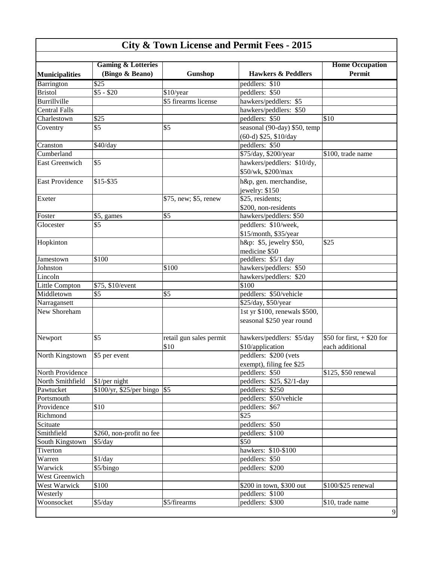|                        | <b>Gaming &amp; Lotteries</b> |                         |                               | <b>Home Occupation</b>       |
|------------------------|-------------------------------|-------------------------|-------------------------------|------------------------------|
| <b>Municipalities</b>  | (Bingo & Beano)               | Gunshop                 | <b>Hawkers &amp; Peddlers</b> | Permit                       |
| Barrington             | $\overline{$25}$              |                         | peddlers: \$10                |                              |
| <b>Bristol</b>         | $$5 - $20$                    | \$10/year               | peddlers: \$50                |                              |
| Burrillville           |                               | \$5 firearms license    | hawkers/peddlers: \$5         |                              |
| <b>Central Falls</b>   |                               |                         | hawkers/peddlers: \$50        |                              |
| Charlestown            | \$25                          |                         | peddlers: \$50                | \$10                         |
| Coventry               | \$5                           | \$5                     | seasonal (90-day) \$50, temp  |                              |
|                        |                               |                         | (60-d) \$25, \$10/day         |                              |
| Cranston               | \$40/day                      |                         | peddlers: \$50                |                              |
| Cumberland             |                               |                         | \$75/day, \$200/year          | \$100, trade name            |
| <b>East Greenwich</b>  | \$5                           |                         | hawkers/peddlers: \$10/dy,    |                              |
|                        |                               |                         | \$50/wk, \$200/max            |                              |
| <b>East Providence</b> | \$15-\$35                     |                         | h&p, gen. merchandise,        |                              |
|                        |                               |                         | jewelry: \$150                |                              |
| Exeter                 |                               | \$75, new; \$5, renew   | \$25, residents;              |                              |
|                        |                               |                         | \$200, non-residents          |                              |
| Foster                 | \$5, games                    | \$5                     | hawkers/peddlers: \$50        |                              |
| Glocester              | \$5                           |                         | peddlers: \$10/week,          |                              |
|                        |                               |                         | \$15/month, \$35/year         |                              |
| Hopkinton              |                               |                         | h&p: \$5, jewelry \$50,       | \$25                         |
|                        |                               |                         | medicine \$50                 |                              |
| Jamestown              | \$100                         |                         | peddlers: \$5/1 day           |                              |
| Johnston               |                               | \$100                   | hawkers/peddlers: \$50        |                              |
| Lincoln                |                               |                         | hawkers/peddlers: \$20        |                              |
| Little Compton         | \$75, \$10/event              |                         | \$100                         |                              |
| Middletown             | \$5                           | \$5                     | peddlers: \$50/vehicle        |                              |
| Narragansett           |                               |                         | \$25/day, \$50/year           |                              |
| New Shoreham           |                               |                         | 1st yr \$100, renewals \$500, |                              |
|                        |                               |                         | seasonal \$250 year round     |                              |
|                        |                               |                         |                               |                              |
| Newport                | \$5                           | retail gun sales permit | hawkers/peddlers: \$5/day     | \$50 for first, $+$ \$20 for |
|                        |                               | \$10                    | \$10/application              | each additional              |
| North Kingstown        | \$5 per event                 |                         | peddlers: \$200 (vets         |                              |
|                        |                               |                         | exempt), filing fee \$25      |                              |
| North Providence       |                               |                         | peddlers: \$50                | \$125, \$50 renewal          |
| North Smithfield       | \$1/per night                 |                         | peddlers: \$25, \$2/1-day     |                              |
| Pawtucket              | $$100/yr, $25/per bingo$ \\$5 |                         | peddlers: \$250               |                              |
| Portsmouth             |                               |                         | peddlers: \$50/vehicle        |                              |
| Providence             | \$10                          |                         | peddlers: \$67                |                              |
| Richmond               |                               |                         | \$25                          |                              |
| Scituate               |                               |                         | peddlers: \$50                |                              |
| Smithfield             | \$260, non-profit no fee      |                         | peddlers: \$100               |                              |
| South Kingstown        | \$5/day                       |                         | $\overline{$}50$              |                              |
| Tiverton               |                               |                         | hawkers: \$10-\$100           |                              |
| Warren                 | \$1/day                       |                         | peddlers: \$50                |                              |
| Warwick                | \$5/bingo                     |                         | peddlers: \$200               |                              |
| West Greenwich         |                               |                         |                               |                              |
| West Warwick           | \$100                         |                         | \$200 in town, \$300 out      | \$100/\$25 renewal           |
| Westerly               |                               |                         | peddlers: \$100               |                              |
| Woonsocket             | $\overline{\$5/day}$          | \$5/firearms            | peddlers: \$300               | \$10, trade name             |
|                        |                               |                         |                               | 9                            |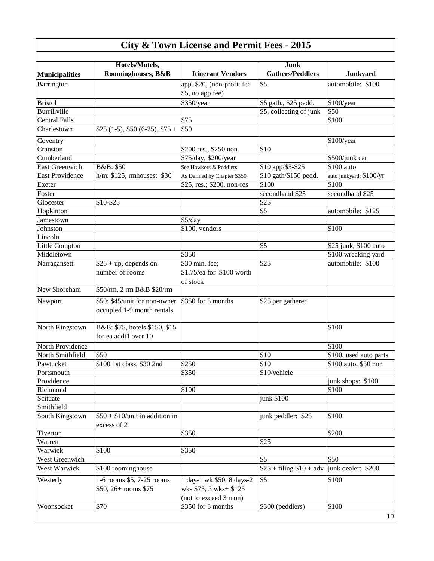|                        | Hotels/Motels,                   |                             | Junk                     |                          |
|------------------------|----------------------------------|-----------------------------|--------------------------|--------------------------|
| <b>Municipalities</b>  | Roominghouses, B&B               | <b>Itinerant Vendors</b>    | <b>Gathers/Peddlers</b>  | Junkyard                 |
| Barrington             |                                  | app. \$20, (non-profit fee  | \$5                      | automobile: \$100        |
|                        |                                  | \$5, no app fee)            |                          |                          |
| <b>Bristol</b>         |                                  | \$350/year                  | \$5 gath., \$25 pedd.    | \$100/year               |
| <b>Burrillville</b>    |                                  |                             | \$5, collecting of junk  | \$50                     |
| <b>Central Falls</b>   |                                  | \$75                        |                          | \$100                    |
| Charlestown            | $$25$ (1-5), \$50 (6-25), \$75 + | \$50                        |                          |                          |
| Coventry               |                                  |                             |                          | \$100/year               |
| Cranston               |                                  | \$200 res., \$250 non.      | \$10                     |                          |
| Cumberland             |                                  | \$75/day, \$200/year        |                          | \$500/junk car           |
| <b>East Greenwich</b>  | B&B: \$50                        | See Hawkers & Peddlers      | \$10 app/\$5-\$25        | \$100 auto               |
| <b>East Providence</b> | h/m: \$125, rmhouses: \$30       | As Defined by Chapter \$350 | \$10 gath/\$150 pedd.    | auto junkyard: $$100/yr$ |
| Exeter                 |                                  | \$25, res.; \$200, non-res  | \$100                    | \$100                    |
| Foster                 |                                  |                             | secondhand \$25          | secondhand \$25          |
| Glocester              | \$10-\$25                        |                             | \$25                     |                          |
| Hopkinton              |                                  |                             | \$5                      | automobile: \$125        |
| Jamestown              |                                  | \$5/day                     |                          |                          |
| Johnston               |                                  | \$100, vendors              |                          | \$100                    |
| Lincoln                |                                  |                             |                          |                          |
| <b>Little Compton</b>  |                                  |                             | \$5                      | \$25 junk, \$100 auto    |
| Middletown             |                                  | \$350                       |                          | \$100 wrecking yard      |
| Narragansett           | $$25 + up$ , depends on          | \$30 min. fee;              | \$25                     | automobile: \$100        |
|                        | number of rooms                  | \$1.75/ea for \$100 worth   |                          |                          |
|                        |                                  | of stock                    |                          |                          |
| New Shoreham           | \$50/rm, 2 rm B&B \$20/rm        |                             |                          |                          |
| Newport                | \$50; \$45/unit for non-owner    | \$350 for 3 months          | \$25 per gatherer        |                          |
|                        | occupied 1-9 month rentals       |                             |                          |                          |
|                        |                                  |                             |                          |                          |
| North Kingstown        | B&B: \$75, hotels \$150, \$15    |                             |                          | \$100                    |
|                        | for ea addt'l over 10            |                             |                          |                          |
| North Providence       |                                  |                             |                          | \$100                    |
| North Smithfield       | \$50                             |                             | \$10                     | \$100, used auto parts   |
| Pawtucket              | \$100 1st class, \$30 2nd        | \$250                       | \$10                     | \$100 auto, \$50 non     |
| Portsmouth             |                                  | \$350                       | \$10/vehicle             |                          |
| Providence             |                                  |                             |                          | junk shops: \$100        |
| Richmond               |                                  | \$100                       |                          | \$100                    |
| Scituate               |                                  |                             | junk \$100               |                          |
| Smithfield             |                                  |                             |                          |                          |
| South Kingstown        | $$50 + $10/$ unit in addition in |                             | junk peddler: \$25       | \$100                    |
|                        | excess of 2                      |                             |                          |                          |
| Tiverton               |                                  | \$350                       |                          | \$200                    |
| Warren                 |                                  |                             | \$25                     |                          |
| Warwick                | $\overline{$}100$                | \$350                       |                          |                          |
| West Greenwich         |                                  |                             | \$5                      | \$50                     |
| West Warwick           | \$100 roominghouse               |                             | $$25 + filing $10 + adv$ | junk dealer: \$200       |
| Westerly               | 1-6 rooms \$5, 7-25 rooms        | 1 day-1 wk \$50, 8 days-2   | \$5                      | \$100                    |
|                        | \$50, 26+ rooms \$75             | wks \$75, 3 wks+ \$125      |                          |                          |
|                        |                                  | (not to exceed 3 mon)       |                          |                          |
|                        | \$70                             | \$350 for 3 months          | \$300 (peddlers)         | \$100                    |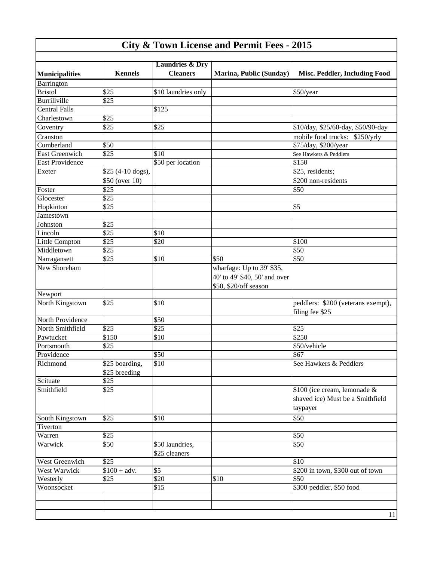| <b>Kennels</b> | <b>Laundries &amp; Dry</b>                                                                                                                                                                                                                                           |                                                                                                                                                               |                                                                                                     |
|----------------|----------------------------------------------------------------------------------------------------------------------------------------------------------------------------------------------------------------------------------------------------------------------|---------------------------------------------------------------------------------------------------------------------------------------------------------------|-----------------------------------------------------------------------------------------------------|
|                |                                                                                                                                                                                                                                                                      |                                                                                                                                                               |                                                                                                     |
|                | <b>Cleaners</b>                                                                                                                                                                                                                                                      | Marina, Public (Sunday)                                                                                                                                       | Misc. Peddler, Including Food                                                                       |
|                |                                                                                                                                                                                                                                                                      |                                                                                                                                                               |                                                                                                     |
| \$25           | \$10 laundries only                                                                                                                                                                                                                                                  |                                                                                                                                                               | \$50/year                                                                                           |
|                |                                                                                                                                                                                                                                                                      |                                                                                                                                                               |                                                                                                     |
|                |                                                                                                                                                                                                                                                                      |                                                                                                                                                               |                                                                                                     |
|                |                                                                                                                                                                                                                                                                      |                                                                                                                                                               |                                                                                                     |
| \$25           | \$25                                                                                                                                                                                                                                                                 |                                                                                                                                                               | \$10/day, \$25/60-day, \$50/90-day                                                                  |
|                |                                                                                                                                                                                                                                                                      |                                                                                                                                                               | mobile food trucks: \$250/yrly                                                                      |
| \$50           |                                                                                                                                                                                                                                                                      |                                                                                                                                                               | \$75/day, \$200/year                                                                                |
| \$25           | \$10                                                                                                                                                                                                                                                                 |                                                                                                                                                               | See Hawkers & Peddlers                                                                              |
|                |                                                                                                                                                                                                                                                                      |                                                                                                                                                               | \$150                                                                                               |
|                |                                                                                                                                                                                                                                                                      |                                                                                                                                                               | \$25, residents;                                                                                    |
|                |                                                                                                                                                                                                                                                                      |                                                                                                                                                               | \$200 non-residents                                                                                 |
|                |                                                                                                                                                                                                                                                                      |                                                                                                                                                               | \$50                                                                                                |
|                |                                                                                                                                                                                                                                                                      |                                                                                                                                                               |                                                                                                     |
|                |                                                                                                                                                                                                                                                                      |                                                                                                                                                               | \$5                                                                                                 |
|                |                                                                                                                                                                                                                                                                      |                                                                                                                                                               |                                                                                                     |
|                |                                                                                                                                                                                                                                                                      |                                                                                                                                                               |                                                                                                     |
|                |                                                                                                                                                                                                                                                                      |                                                                                                                                                               |                                                                                                     |
|                |                                                                                                                                                                                                                                                                      |                                                                                                                                                               | \$100                                                                                               |
|                |                                                                                                                                                                                                                                                                      |                                                                                                                                                               | \$50                                                                                                |
|                |                                                                                                                                                                                                                                                                      |                                                                                                                                                               |                                                                                                     |
|                |                                                                                                                                                                                                                                                                      |                                                                                                                                                               | \$50                                                                                                |
|                |                                                                                                                                                                                                                                                                      |                                                                                                                                                               |                                                                                                     |
|                |                                                                                                                                                                                                                                                                      |                                                                                                                                                               |                                                                                                     |
|                |                                                                                                                                                                                                                                                                      |                                                                                                                                                               |                                                                                                     |
|                |                                                                                                                                                                                                                                                                      |                                                                                                                                                               | peddlers: \$200 (veterans exempt),                                                                  |
|                |                                                                                                                                                                                                                                                                      |                                                                                                                                                               | filing fee \$25                                                                                     |
|                |                                                                                                                                                                                                                                                                      |                                                                                                                                                               |                                                                                                     |
|                |                                                                                                                                                                                                                                                                      |                                                                                                                                                               | \$25                                                                                                |
|                |                                                                                                                                                                                                                                                                      |                                                                                                                                                               | $\sqrt{$250}$                                                                                       |
|                |                                                                                                                                                                                                                                                                      |                                                                                                                                                               | \$50/vehicle                                                                                        |
|                |                                                                                                                                                                                                                                                                      |                                                                                                                                                               | \$67                                                                                                |
|                |                                                                                                                                                                                                                                                                      |                                                                                                                                                               | See Hawkers & Peddlers                                                                              |
|                |                                                                                                                                                                                                                                                                      |                                                                                                                                                               |                                                                                                     |
|                |                                                                                                                                                                                                                                                                      |                                                                                                                                                               |                                                                                                     |
|                |                                                                                                                                                                                                                                                                      |                                                                                                                                                               | \$100 (ice cream, lemonade &                                                                        |
|                |                                                                                                                                                                                                                                                                      |                                                                                                                                                               | shaved ice) Must be a Smithfield                                                                    |
|                |                                                                                                                                                                                                                                                                      |                                                                                                                                                               |                                                                                                     |
|                |                                                                                                                                                                                                                                                                      |                                                                                                                                                               | taypayer                                                                                            |
|                |                                                                                                                                                                                                                                                                      |                                                                                                                                                               | \$50                                                                                                |
|                |                                                                                                                                                                                                                                                                      |                                                                                                                                                               |                                                                                                     |
|                |                                                                                                                                                                                                                                                                      |                                                                                                                                                               | \$50                                                                                                |
|                |                                                                                                                                                                                                                                                                      |                                                                                                                                                               | \$50                                                                                                |
| \$25           |                                                                                                                                                                                                                                                                      |                                                                                                                                                               | \$10                                                                                                |
|                |                                                                                                                                                                                                                                                                      |                                                                                                                                                               | \$200 in town, \$300 out of town                                                                    |
|                |                                                                                                                                                                                                                                                                      |                                                                                                                                                               | \$50                                                                                                |
|                | \$15                                                                                                                                                                                                                                                                 |                                                                                                                                                               | \$300 peddler, \$50 food                                                                            |
|                |                                                                                                                                                                                                                                                                      |                                                                                                                                                               |                                                                                                     |
|                | $\overline{$}25$<br>\$25<br>\$25 (4-10 dogs),<br>\$50 (over 10)<br>\$25<br>\$25<br>\$25<br>\$25<br>\$25<br>\$25<br>\$25<br>\$25<br>\$25<br>\$25<br>\$150<br>\$25<br>\$25 boarding,<br>\$25 breeding<br>\$25<br>\$25<br>\$25<br>\$25<br>\$50<br>$$100 + adv.$<br>\$25 | \$125<br>\$50 per location<br>\$10<br>\$20<br>\$10<br>\$10<br>\$50<br>\$25<br>\$10<br>\$50<br>\$10<br>\$10<br>\$50 laundries,<br>\$25 cleaners<br>\$5<br>\$20 | \$50<br>wharfage: Up to 39' \$35,<br>40' to 49' \$40, 50' and over<br>\$50, \$20/off season<br>\$10 |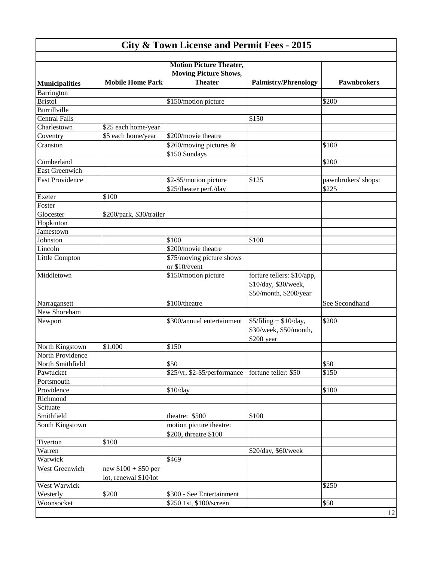| <b>City &amp; Town License and Permit Fees - 2015</b> |                                               |                                                                                  |                                                                              |                              |
|-------------------------------------------------------|-----------------------------------------------|----------------------------------------------------------------------------------|------------------------------------------------------------------------------|------------------------------|
|                                                       |                                               |                                                                                  |                                                                              |                              |
| <b>Municipalities</b>                                 | <b>Mobile Home Park</b>                       | <b>Motion Picture Theater,</b><br><b>Moving Picture Shows,</b><br><b>Theater</b> | <b>Palmistry/Phrenology</b>                                                  | <b>Pawnbrokers</b>           |
| Barrington                                            |                                               |                                                                                  |                                                                              |                              |
| <b>Bristol</b>                                        |                                               | \$150/motion picture                                                             |                                                                              | \$200                        |
| Burrillville                                          |                                               |                                                                                  |                                                                              |                              |
| <b>Central Falls</b>                                  |                                               |                                                                                  | \$150                                                                        |                              |
| Charlestown                                           | \$25 each home/year                           |                                                                                  |                                                                              |                              |
| Coventry                                              | \$5 each home/year                            | \$200/movie theatre                                                              |                                                                              |                              |
| Cranston                                              |                                               | \$260/moving pictures &                                                          |                                                                              | \$100                        |
|                                                       |                                               | \$150 Sundays                                                                    |                                                                              |                              |
| Cumberland                                            |                                               |                                                                                  |                                                                              | \$200                        |
| <b>East Greenwich</b>                                 |                                               |                                                                                  |                                                                              |                              |
| <b>East Providence</b>                                |                                               | \$2-\$5/motion picture<br>\$25/theater perf./day                                 | \$125                                                                        | pawnbrokers' shops:<br>\$225 |
| Exeter                                                | \$100                                         |                                                                                  |                                                                              |                              |
| Foster                                                |                                               |                                                                                  |                                                                              |                              |
| Glocester                                             | \$200/park, \$30/trailer                      |                                                                                  |                                                                              |                              |
| Hopkinton                                             |                                               |                                                                                  |                                                                              |                              |
| Jamestown                                             |                                               |                                                                                  |                                                                              |                              |
| Johnston                                              |                                               | \$100                                                                            | \$100                                                                        |                              |
| Lincoln                                               |                                               | \$200/movie theatre                                                              |                                                                              |                              |
| Little Compton                                        |                                               | \$75/moving picture shows<br>or \$10/event                                       |                                                                              |                              |
| Middletown                                            |                                               | \$150/motion picture                                                             | forture tellers: \$10/app,<br>\$10/day, \$30/week,<br>\$50/month, \$200/year |                              |
| Narragansett                                          |                                               | \$100/theatre                                                                    |                                                                              | See Secondhand               |
| New Shoreham                                          |                                               |                                                                                  |                                                                              |                              |
| Newport                                               |                                               | \$300/annual entertainment                                                       | $$5/filing + $10/day,$<br>\$30/week, \$50/month,<br>\$200 year               | \$200                        |
| North Kingstown                                       | \$1,000                                       | \$150                                                                            |                                                                              |                              |
| North Providence                                      |                                               |                                                                                  |                                                                              |                              |
| North Smithfield                                      |                                               | \$50                                                                             |                                                                              | \$50                         |
| Pawtucket                                             |                                               | \$25/yr, \$2-\$5/performance                                                     | fortune teller: \$50                                                         | \$150                        |
| Portsmouth                                            |                                               |                                                                                  |                                                                              |                              |
| Providence                                            |                                               | \$10/day                                                                         |                                                                              | \$100                        |
| Richmond                                              |                                               |                                                                                  |                                                                              |                              |
| Scituate                                              |                                               |                                                                                  |                                                                              |                              |
| Smithfield                                            |                                               | theatre: \$500                                                                   | \$100                                                                        |                              |
| South Kingstown                                       |                                               | motion picture theatre:<br>\$200, threatre \$100                                 |                                                                              |                              |
| Tiverton                                              | \$100                                         |                                                                                  |                                                                              |                              |
| Warren                                                |                                               |                                                                                  | \$20/day, \$60/week                                                          |                              |
| Warwick                                               |                                               | \$469                                                                            |                                                                              |                              |
| West Greenwich                                        | new $$100 + $50$ per<br>lot, renewal \$10/lot |                                                                                  |                                                                              |                              |
| West Warwick                                          |                                               |                                                                                  |                                                                              | \$250                        |
| Westerly                                              | \$200                                         | \$300 - See Entertainment                                                        |                                                                              |                              |
| Woonsocket                                            |                                               | \$250 1st, \$100/screen                                                          |                                                                              | \$50                         |
|                                                       |                                               |                                                                                  |                                                                              | 12                           |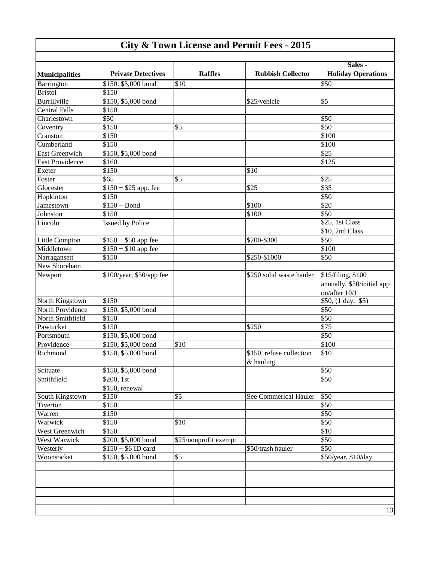| <b>City &amp; Town License and Permit Fees - 2015</b> |  |  |  |
|-------------------------------------------------------|--|--|--|
|-------------------------------------------------------|--|--|--|

|                        |                           |                       |                          | Sales -                    |
|------------------------|---------------------------|-----------------------|--------------------------|----------------------------|
| <b>Municipalities</b>  | <b>Private Detectives</b> | <b>Raffles</b>        | <b>Rubbish Collector</b> | <b>Holiday Operations</b>  |
| Barrington             | \$150, \$5,000 bond       | \$10                  |                          | $\overline{$}50$           |
| <b>Bristol</b>         | \$150                     |                       |                          |                            |
| Burrillville           | \$150, \$5,000 bond       |                       | \$25/vehicle             | \$5                        |
| <b>Central Falls</b>   | \$150                     |                       |                          |                            |
| Charlestown            | \$50                      |                       |                          | \$50                       |
| Coventry               | \$150                     | \$5                   |                          | $\overline{$}50$           |
| Cranston               | \$150                     |                       |                          | \$100                      |
| Cumberland             | \$150                     |                       |                          | \$100                      |
| East Greenwich         | \$150, \$5,000 bond       |                       |                          | $\overline{$25}$           |
| <b>East Providence</b> | \$160                     |                       |                          | \$125                      |
| Exeter                 | \$150                     |                       | \$10                     |                            |
| Foster                 | $\overline{$65}$          | \$5                   |                          | \$25                       |
| Glocester              | $$150 + $25$ app. fee     |                       | \$25                     | \$35                       |
| Hopkinton              | \$150                     |                       |                          | $\overline{$}50$           |
| Jamestown              | $$150 + Bond$             |                       | \$100                    | $\overline{$}20$           |
| Johnston               | \$150                     |                       | \$100                    | \$50                       |
| Lincoln                | <b>Issued by Police</b>   |                       |                          | \$25, 1st Class            |
|                        |                           |                       |                          | \$10, 2nd Class            |
| <b>Little Compton</b>  | $$150 + $50$ app fee      |                       | \$200-\$300              | \$50                       |
| Middletown             | $$150 + $10$ app fee      |                       |                          | \$100                      |
| Narragansett           | \$150                     |                       | \$250-\$1000             | \$50                       |
|                        |                           |                       |                          |                            |
| New Shoreham           |                           |                       |                          |                            |
| Newport                | \$100/year, \$50/app fee  |                       | \$250 solid waste hauler | \$15/filing, \$100         |
|                        |                           |                       |                          | annually, \$50/initial app |
|                        |                           |                       |                          | on/after 10/1              |
| North Kingstown        | \$150                     |                       |                          | \$50, (1 day: \$5)         |
| North Providence       | \$150, \$5,000 bond       |                       |                          | \$50                       |
| North Smithfield       | \$150                     |                       |                          | \$50                       |
| Pawtucket              | \$150                     |                       | \$250                    | $\overline{$75}$           |
| Portsmouth             | \$150, \$5,000 bond       |                       |                          | $\overline{$}50$           |
| Providence             | \$150, \$5,000 bond       | \$10                  |                          | \$100                      |
| Richmond               | \$150, \$5,000 bond       |                       | \$150, refuse collection | \$10                       |
|                        |                           |                       | & hauling                |                            |
| Scituate               | $$150, $5,000$ bond       |                       |                          | \$50                       |
| Smithfield             | \$200, 1st                |                       |                          | \$50                       |
|                        | \$150, renewal            |                       |                          |                            |
| South Kingstown        | \$150                     | \$5                   | See Commerical Hauler    | \$50                       |
| Tiverton               | \$150                     |                       |                          | \$50                       |
| Warren                 | \$150                     |                       |                          | \$50                       |
| Warwick                | \$150                     | \$10                  |                          | \$50                       |
| West Greenwich         | \$150                     |                       |                          | \$10                       |
| West Warwick           | \$200, \$5,000 bond       | \$25/nonprofit exempt |                          | \$50                       |
| Westerly               | $$150 + $6$ ID card       |                       | \$50/trash hauler        | \$50                       |
| Woonsocket             | \$150, \$5,000 bond       | \$5                   |                          | \$50/year, \$10/day        |
|                        |                           |                       |                          |                            |
|                        |                           |                       |                          |                            |
|                        |                           |                       |                          |                            |
|                        |                           |                       |                          |                            |
|                        |                           |                       |                          |                            |
|                        |                           |                       |                          | 13                         |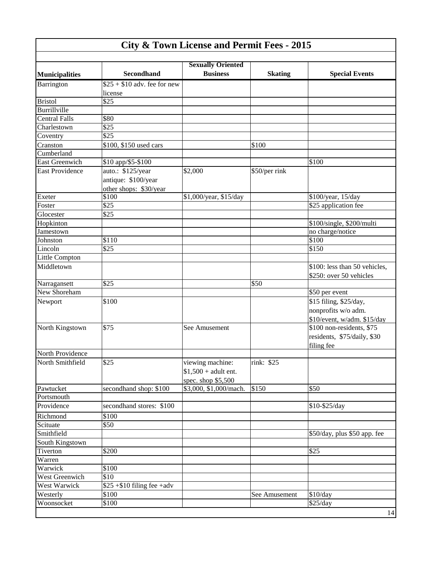|                        |                              | <b>Sexually Oriented</b> |                |                               |
|------------------------|------------------------------|--------------------------|----------------|-------------------------------|
| <b>Municipalities</b>  | <b>Secondhand</b>            | <b>Business</b>          | <b>Skating</b> | <b>Special Events</b>         |
| Barrington             | $$25 + $10$ adv. fee for new |                          |                |                               |
| <b>Bristol</b>         | license<br>\$25              |                          |                |                               |
| Burrillville           |                              |                          |                |                               |
| <b>Central Falls</b>   | \$80                         |                          |                |                               |
|                        | \$25                         |                          |                |                               |
| Charlestown            | \$25                         |                          |                |                               |
| Coventry               |                              |                          |                |                               |
| Cranston<br>Cumberland | \$100, \$150 used cars       |                          | \$100          |                               |
| <b>East Greenwich</b>  | \$10 app/\$5-\$100           |                          |                | \$100                         |
| <b>East Providence</b> |                              |                          |                |                               |
|                        | auto.: \$125/year            | \$2,000                  | \$50/per rink  |                               |
|                        | antique: \$100/year          |                          |                |                               |
|                        | other shops: \$30/year       |                          |                |                               |
| Exeter                 | \$100                        | \$1,000/year, \$15/day   |                | \$100/year, 15/day            |
| Foster                 | \$25                         |                          |                | \$25 application fee          |
| Glocester              | \$25                         |                          |                |                               |
| Hopkinton              |                              |                          |                | \$100/single, \$200/multi     |
| Jamestown              |                              |                          |                | no charge/notice              |
| Johnston               | \$110                        |                          |                | \$100                         |
| Lincoln                | \$25                         |                          |                | \$150                         |
| Little Compton         |                              |                          |                |                               |
| Middletown             |                              |                          |                | \$100: less than 50 vehicles, |
|                        |                              |                          |                | \$250: over 50 vehicles       |
| Narragansett           | \$25                         |                          | \$50           |                               |
| New Shoreham           |                              |                          |                | \$50 per event                |
| Newport                | \$100                        |                          |                | \$15 filing, \$25/day,        |
|                        |                              |                          |                | nonprofits w/o adm.           |
|                        |                              |                          |                | \$10/event, w/adm. \$15/day   |
| North Kingstown        | \$75                         | See Amusement            |                | \$100 non-residents, \$75     |
|                        |                              |                          |                | residents, \$75/daily, \$30   |
|                        |                              |                          |                | filing fee                    |
| North Providence       |                              |                          |                |                               |
| North Smithfield       | \$25                         | viewing machine:         | rink: \$25     |                               |
|                        |                              | $$1,500 + adult$ ent.    |                |                               |
|                        |                              | spec. shop $$5,500$      |                |                               |
| Pawtucket              | secondhand shop: \$100       | \$3,000, \$1,000/mach.   | \$150          | \$50                          |
| Portsmouth             |                              |                          |                |                               |
| Providence             | secondhand stores: \$100     |                          |                | \$10-\$25/day                 |
| Richmond               | \$100                        |                          |                |                               |
| Scituate               | \$50                         |                          |                |                               |
| Smithfield             |                              |                          |                | \$50/day, plus \$50 app. fee  |
| South Kingstown        |                              |                          |                |                               |
| Tiverton               | \$200                        |                          |                | \$25                          |
| Warren                 |                              |                          |                |                               |
| Warwick                | \$100                        |                          |                |                               |
| West Greenwich         | \$10                         |                          |                |                               |
| <b>West Warwick</b>    | $$25 + $10$ filing fee +adv  |                          |                |                               |
| Westerly               | \$100                        |                          | See Amusement  | \$10/day                      |
| Woonsocket             | \$100                        |                          |                | \$25/day                      |
|                        |                              |                          |                | 14                            |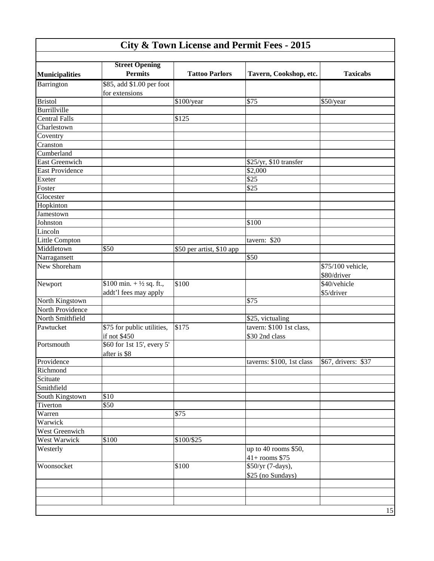| <b>City &amp; Town License and Permit Fees - 2015</b> |                                                              |                           |                                            |                                  |
|-------------------------------------------------------|--------------------------------------------------------------|---------------------------|--------------------------------------------|----------------------------------|
|                                                       | <b>Street Opening</b>                                        |                           |                                            |                                  |
| <b>Municipalities</b>                                 | <b>Permits</b>                                               | <b>Tattoo Parlors</b>     | Tavern, Cookshop, etc.                     | <b>Taxicabs</b>                  |
| Barrington                                            | \$85, add \$1.00 per foot<br>for extensions                  |                           |                                            |                                  |
| <b>Bristol</b>                                        |                                                              | \$100/year                | \$75                                       | \$50/year                        |
| Burrillville                                          |                                                              |                           |                                            |                                  |
| <b>Central Falls</b>                                  |                                                              | \$125                     |                                            |                                  |
| Charlestown                                           |                                                              |                           |                                            |                                  |
| Coventry                                              |                                                              |                           |                                            |                                  |
| Cranston                                              |                                                              |                           |                                            |                                  |
| Cumberland                                            |                                                              |                           |                                            |                                  |
| East Greenwich                                        |                                                              |                           | \$25/yr, \$10 transfer                     |                                  |
| East Providence                                       |                                                              |                           | \$2,000                                    |                                  |
| Exeter                                                |                                                              |                           | \$25                                       |                                  |
| Foster                                                |                                                              |                           | \$25                                       |                                  |
| Glocester                                             |                                                              |                           |                                            |                                  |
| Hopkinton                                             |                                                              |                           |                                            |                                  |
| Jamestown                                             |                                                              |                           |                                            |                                  |
| Johnston                                              |                                                              |                           | \$100                                      |                                  |
| Lincoln                                               |                                                              |                           |                                            |                                  |
| Little Compton                                        |                                                              |                           | tavern: \$20                               |                                  |
| Middletown                                            | \$50                                                         | \$50 per artist, \$10 app |                                            |                                  |
| Narragansett                                          |                                                              |                           | \$50                                       |                                  |
| New Shoreham                                          |                                                              |                           |                                            | \$75/100 vehicle,<br>\$80/driver |
| Newport                                               | \$100 min. $+ \frac{1}{2}$ sq. ft.,<br>addt'l fees may apply | \$100                     |                                            | \$40/vehicle<br>\$5/driver       |
| North Kingstown                                       |                                                              |                           | \$75                                       |                                  |
| North Providence                                      |                                                              |                           |                                            |                                  |
| North Smithfield                                      |                                                              |                           | \$25, victualing                           |                                  |
| Pawtucket                                             | \$75 for public utilities,<br>if not \$450                   | \$175                     | tavern: \$100 1st class,<br>\$30 2nd class |                                  |
| Portsmouth                                            | \$60 for 1st 15', every 5'<br>after is \$8                   |                           |                                            |                                  |
| Providence                                            |                                                              |                           | taverns: \$100, 1st class                  | \$67, drivers: \$37              |
| Richmond                                              |                                                              |                           |                                            |                                  |
| Scituate                                              |                                                              |                           |                                            |                                  |
| Smithfield                                            |                                                              |                           |                                            |                                  |
| South Kingstown                                       | \$10                                                         |                           |                                            |                                  |
| Tiverton                                              | \$50                                                         |                           |                                            |                                  |
| Warren                                                |                                                              | \$75                      |                                            |                                  |
| Warwick                                               |                                                              |                           |                                            |                                  |
| <b>West Greenwich</b>                                 |                                                              |                           |                                            |                                  |
| West Warwick                                          | \$100                                                        | \$100/\$25                |                                            |                                  |
| Westerly                                              |                                                              |                           | up to 40 rooms \$50,<br>$41+$ rooms \$75   |                                  |
| Woonsocket                                            |                                                              | \$100                     | \$50/yr (7-days),<br>\$25 (no Sundays)     |                                  |
|                                                       |                                                              |                           |                                            |                                  |
|                                                       |                                                              |                           |                                            |                                  |
|                                                       |                                                              |                           |                                            | 15                               |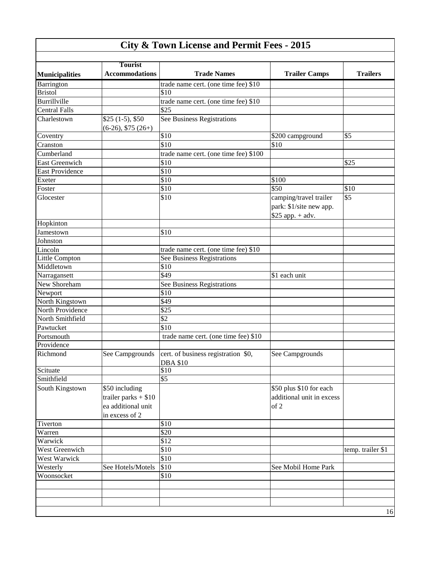| <b>City &amp; Town License and Permit Fees - 2015</b> |                                                                                  |                                                       |                                                                        |                   |
|-------------------------------------------------------|----------------------------------------------------------------------------------|-------------------------------------------------------|------------------------------------------------------------------------|-------------------|
|                                                       |                                                                                  |                                                       |                                                                        |                   |
| <b>Municipalities</b>                                 | <b>Tourist</b><br><b>Accommodations</b>                                          | <b>Trade Names</b>                                    | <b>Trailer Camps</b>                                                   | <b>Trailers</b>   |
| Barrington                                            |                                                                                  | trade name cert. (one time fee) \$10                  |                                                                        |                   |
| <b>Bristol</b>                                        |                                                                                  | \$10                                                  |                                                                        |                   |
| Burrillville                                          |                                                                                  | trade name cert. (one time fee) \$10                  |                                                                        |                   |
| <b>Central Falls</b>                                  |                                                                                  | \$25                                                  |                                                                        |                   |
| Charlestown                                           | $$25(1-5), $50$<br>$(6-26), $75 (26+)$                                           | See Business Registrations                            |                                                                        |                   |
| Coventry                                              |                                                                                  | \$10                                                  | \$200 campground                                                       | \$5               |
| Cranston                                              |                                                                                  | \$10                                                  | \$10                                                                   |                   |
| Cumberland                                            |                                                                                  | trade name cert. (one time fee) \$100                 |                                                                        |                   |
| <b>East Greenwich</b>                                 |                                                                                  | \$10                                                  |                                                                        | \$25              |
| <b>East Providence</b>                                |                                                                                  | \$10                                                  |                                                                        |                   |
| Exeter                                                |                                                                                  | \$10                                                  | \$100                                                                  |                   |
| Foster                                                |                                                                                  | \$10                                                  | \$50                                                                   | \$10              |
| Glocester                                             |                                                                                  | \$10                                                  | camping/travel trailer<br>park: \$1/site new app.<br>$$25$ app. + adv. | \$5               |
| Hopkinton                                             |                                                                                  |                                                       |                                                                        |                   |
| Jamestown                                             |                                                                                  | \$10                                                  |                                                                        |                   |
| Johnston                                              |                                                                                  |                                                       |                                                                        |                   |
| Lincoln                                               |                                                                                  | trade name cert. (one time fee) \$10                  |                                                                        |                   |
| Little Compton                                        |                                                                                  | See Business Registrations                            |                                                                        |                   |
| Middletown                                            |                                                                                  | \$10                                                  |                                                                        |                   |
| Narragansett                                          |                                                                                  | \$49                                                  | \$1 each unit                                                          |                   |
| New Shoreham                                          |                                                                                  | See Business Registrations                            |                                                                        |                   |
| Newport                                               |                                                                                  | \$10                                                  |                                                                        |                   |
| North Kingstown                                       |                                                                                  | \$49                                                  |                                                                        |                   |
| North Providence                                      |                                                                                  | \$25                                                  |                                                                        |                   |
| North Smithfield                                      |                                                                                  | $\overline{$}$                                        |                                                                        |                   |
| Pawtucket                                             |                                                                                  | \$10                                                  |                                                                        |                   |
| Portsmouth                                            |                                                                                  | trade name cert. (one time fee) \$10                  |                                                                        |                   |
| Providence                                            |                                                                                  |                                                       |                                                                        |                   |
| Richmond                                              |                                                                                  | See Campgrounds   cert. of business registration \$0, | See Campgrounds                                                        |                   |
| Scituate                                              |                                                                                  | <b>DBA \$10</b><br>\$10                               |                                                                        |                   |
| Smithfield                                            |                                                                                  | \$5                                                   |                                                                        |                   |
| South Kingstown                                       | \$50 including<br>trailer parks $+$ \$10<br>ea additional unit<br>in excess of 2 |                                                       | \$50 plus \$10 for each<br>additional unit in excess<br>of 2           |                   |
| Tiverton                                              |                                                                                  | \$10                                                  |                                                                        |                   |
| Warren                                                |                                                                                  | \$20                                                  |                                                                        |                   |
| Warwick                                               |                                                                                  | $\overline{$12}$                                      |                                                                        |                   |
| West Greenwich                                        |                                                                                  | \$10                                                  |                                                                        | temp. trailer \$1 |
| <b>West Warwick</b>                                   |                                                                                  | \$10                                                  |                                                                        |                   |
| Westerly                                              | See Hotels/Motels                                                                | \$10                                                  | See Mobil Home Park                                                    |                   |
| Woonsocket                                            |                                                                                  | \$10                                                  |                                                                        |                   |
|                                                       |                                                                                  |                                                       |                                                                        |                   |
|                                                       |                                                                                  |                                                       |                                                                        |                   |
|                                                       |                                                                                  |                                                       |                                                                        |                   |
|                                                       |                                                                                  |                                                       |                                                                        | 16                |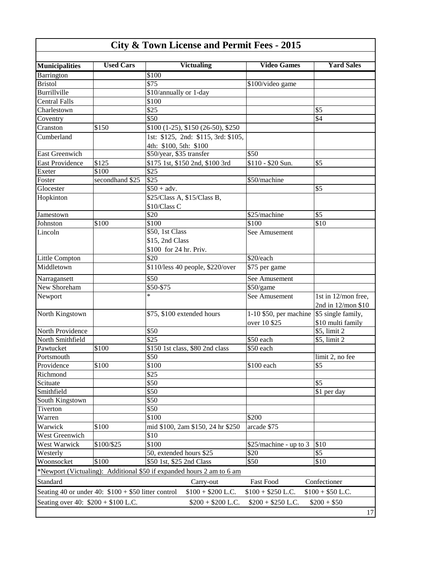| <b>Municipalities</b>               | <b>Used Cars</b>                                                         | <b>Victualing</b>                                                     | <b>Video Games</b>                       | <b>Yard Sales</b>   |
|-------------------------------------|--------------------------------------------------------------------------|-----------------------------------------------------------------------|------------------------------------------|---------------------|
| Barrington                          |                                                                          | \$100                                                                 |                                          |                     |
| <b>Bristol</b>                      |                                                                          | \$75                                                                  | \$100/video game                         |                     |
| <b>Burrillville</b>                 |                                                                          | \$10/annually or 1-day                                                |                                          |                     |
| <b>Central Falls</b>                |                                                                          | \$100                                                                 |                                          |                     |
| Charlestown                         |                                                                          | \$25                                                                  |                                          | \$5                 |
| Coventry                            |                                                                          | \$50                                                                  |                                          | \$4                 |
| Cranston                            | \$150                                                                    | $$100$ (1-25), \$150 (26-50), \$250                                   |                                          |                     |
| Cumberland                          |                                                                          | 1st: \$125, 2nd: \$115, 3rd: \$105,                                   |                                          |                     |
|                                     |                                                                          | 4th: \$100, 5th: \$100                                                |                                          |                     |
| <b>East Greenwich</b>               |                                                                          | \$50/year, \$35 transfer                                              | \$50                                     |                     |
| East Providence                     | \$125                                                                    | \$175 1st, \$150 2nd, \$100 3rd                                       | \$110 - \$20 Sun.                        | \$5                 |
| Exeter                              | \$100                                                                    | \$25                                                                  |                                          |                     |
| Foster                              | secondhand \$25                                                          | \$25                                                                  | \$50/machine                             |                     |
| Glocester                           |                                                                          | $$50 + adv.$                                                          |                                          | \$5                 |
| Hopkinton                           |                                                                          | \$25/Class A, \$15/Class B,                                           |                                          |                     |
|                                     |                                                                          | \$10/Class C                                                          |                                          |                     |
| Jamestown                           |                                                                          | \$20                                                                  | \$25/machine                             | \$5                 |
| Johnston                            | $\overline{$}100$                                                        | \$100                                                                 | \$100                                    | \$10                |
| Lincoln                             |                                                                          | \$50, 1st Class                                                       | See Amusement                            |                     |
|                                     |                                                                          | \$15, 2nd Class                                                       |                                          |                     |
|                                     |                                                                          | \$100 for 24 hr. Priv.                                                |                                          |                     |
| Little Compton                      |                                                                          | \$20                                                                  | \$20/each                                |                     |
| Middletown                          |                                                                          | \$110/less 40 people, \$220/over                                      | \$75 per game                            |                     |
|                                     |                                                                          | \$50                                                                  |                                          |                     |
| Narragansett<br>New Shoreham        |                                                                          | \$50-\$75                                                             | See Amusement<br>\$50/game               |                     |
|                                     |                                                                          | *                                                                     | See Amusement                            | 1st in 12/mon free, |
| Newport                             |                                                                          |                                                                       |                                          | 2nd in 12/mon \$10  |
| North Kingstown                     |                                                                          | \$75, \$100 extended hours                                            | 1-10 \$50, per machine                   | \$5 single family,  |
|                                     |                                                                          |                                                                       | over 10 \$25                             | \$10 multi family   |
| North Providence                    |                                                                          | \$50                                                                  |                                          | \$5, limit 2        |
| North Smithfield                    |                                                                          | \$25                                                                  | \$50 each                                | \$5, limit 2        |
| Pawtucket                           | \$100                                                                    | \$150 1st class, \$80 2nd class                                       | \$50 each                                |                     |
| Portsmouth                          |                                                                          | \$50                                                                  |                                          | limit 2, no fee     |
| Providence                          | \$100                                                                    | \$100                                                                 | \$100 each                               | \$5                 |
| Richmond                            |                                                                          | \$25                                                                  |                                          |                     |
| Scituate                            |                                                                          | \$50                                                                  |                                          | \$5                 |
| Smithfield                          |                                                                          | \$50                                                                  |                                          | \$1 per day         |
| South Kingstown                     |                                                                          | \$50                                                                  |                                          |                     |
| Tiverton                            |                                                                          | \$50                                                                  |                                          |                     |
| Warren                              |                                                                          | \$100                                                                 | \$200                                    |                     |
| Warwick                             | \$100                                                                    | mid \$100, 2am \$150, 24 hr \$250                                     | arcade \$75                              |                     |
| West Greenwich                      |                                                                          | \$10                                                                  |                                          |                     |
| West Warwick                        | \$100/\$25                                                               | \$100                                                                 | \$25/machine - up to 3                   | \$10                |
| Westerly                            |                                                                          | 50, extended hours \$25                                               | \$20                                     | \$5                 |
| Woonsocket                          | \$100                                                                    | \$50 1st, \$25 2nd Class                                              | \$50                                     | \$10                |
|                                     |                                                                          | *Newport (Victualing): Additional \$50 if expanded hours 2 am to 6 am |                                          |                     |
| Standard                            |                                                                          | Carry-out                                                             | Fast Food                                | Confectioner        |
|                                     | Seating 40 or under 40: $$100 + $50$ litter control<br>$$100 + $50$ L.C. |                                                                       |                                          |                     |
| Seating over 40: $$200 + $100$ L.C. |                                                                          | $$100 + $200$ L.C.<br>$$200 + $200$ L.C.                              | $$100 + $250$ L.C.<br>$$200 + $250$ L.C. | $$200 + $50$        |
|                                     |                                                                          |                                                                       |                                          | 17                  |

17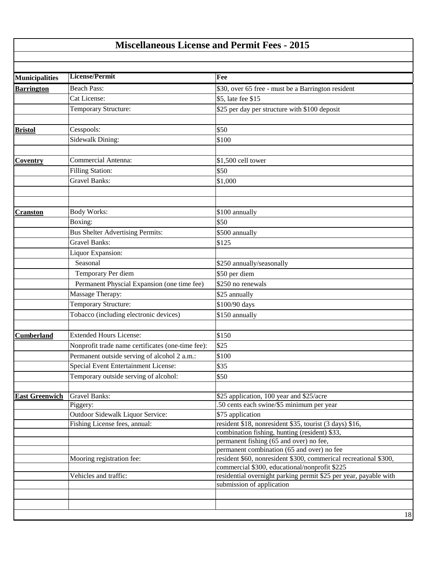#### **Miscellaneous License and Permit Fees - 2015**

| Fee<br><b>Municipalities</b><br><b>Beach Pass:</b><br>\$30, over 65 free - must be a Barrington resident<br><b>Barrington</b><br>Cat License:<br>\$5, late fee \$15<br>Temporary Structure:<br>\$25 per day per structure with \$100 deposit<br>Cesspools:<br>\$50<br>Sidewalk Dining:<br>\$100<br><b>Commercial Antenna:</b><br>\$1,500 cell tower<br><b>Filling Station:</b><br>\$50<br><b>Gravel Banks:</b><br>\$1,000<br><b>Body Works:</b><br>\$100 annually<br>Boxing:<br>\$50<br><b>Bus Shelter Advertising Permits:</b><br>\$500 annually<br><b>Gravel Banks:</b><br>\$125<br>Liquor Expansion:<br>Seasonal<br>\$250 annually/seasonally<br>Temporary Per diem<br>\$50 per diem<br>Permanent Physcial Expansion (one time fee)<br>\$250 no renewals<br>Massage Therapy:<br>\$25 annually<br>Temporary Structure:<br>\$100/90 days<br>Tobacco (including electronic devices)<br>\$150 annually<br><b>Extended Hours License:</b><br>\$150<br>\$25<br>Nonprofit trade name certificates (one-time fee):<br>Permanent outside serving of alcohol 2 a.m.:<br>\$100<br><b>Special Event Entertainment License:</b><br>\$35<br>Temporary outside serving of alcohol:<br>\$50<br><b>Gravel Banks:</b><br>\$25 application, 100 year and \$25/acre<br>.50 cents each swine/\$5 minimum per year<br>Piggery:<br>Outdoor Sidewalk Liquor Service:<br>\$75 application<br>Fishing License fees, annual:<br>resident \$18, nonresident \$35, tourist (3 days) \$16,<br>combination fishing, hunting (resident) \$33,<br>permanent fishing (65 and over) no fee,<br>permanent combination (65 and over) no fee<br>resident \$60, nonresident \$300, commerical recreational \$300,<br>Mooring registration fee:<br>commercial \$300, educational/nonprofit \$225<br>Vehicles and traffic:<br>residential overnight parking permit \$25 per year, payable with<br>submission of application |                 | License/Permit |    |
|---------------------------------------------------------------------------------------------------------------------------------------------------------------------------------------------------------------------------------------------------------------------------------------------------------------------------------------------------------------------------------------------------------------------------------------------------------------------------------------------------------------------------------------------------------------------------------------------------------------------------------------------------------------------------------------------------------------------------------------------------------------------------------------------------------------------------------------------------------------------------------------------------------------------------------------------------------------------------------------------------------------------------------------------------------------------------------------------------------------------------------------------------------------------------------------------------------------------------------------------------------------------------------------------------------------------------------------------------------------------------------------------------------------------------------------------------------------------------------------------------------------------------------------------------------------------------------------------------------------------------------------------------------------------------------------------------------------------------------------------------------------------------------------------------------------------------------------------------------------------------------------|-----------------|----------------|----|
|                                                                                                                                                                                                                                                                                                                                                                                                                                                                                                                                                                                                                                                                                                                                                                                                                                                                                                                                                                                                                                                                                                                                                                                                                                                                                                                                                                                                                                                                                                                                                                                                                                                                                                                                                                                                                                                                                       |                 |                |    |
|                                                                                                                                                                                                                                                                                                                                                                                                                                                                                                                                                                                                                                                                                                                                                                                                                                                                                                                                                                                                                                                                                                                                                                                                                                                                                                                                                                                                                                                                                                                                                                                                                                                                                                                                                                                                                                                                                       |                 |                |    |
|                                                                                                                                                                                                                                                                                                                                                                                                                                                                                                                                                                                                                                                                                                                                                                                                                                                                                                                                                                                                                                                                                                                                                                                                                                                                                                                                                                                                                                                                                                                                                                                                                                                                                                                                                                                                                                                                                       |                 |                |    |
|                                                                                                                                                                                                                                                                                                                                                                                                                                                                                                                                                                                                                                                                                                                                                                                                                                                                                                                                                                                                                                                                                                                                                                                                                                                                                                                                                                                                                                                                                                                                                                                                                                                                                                                                                                                                                                                                                       |                 |                |    |
| <b>Bristol</b>                                                                                                                                                                                                                                                                                                                                                                                                                                                                                                                                                                                                                                                                                                                                                                                                                                                                                                                                                                                                                                                                                                                                                                                                                                                                                                                                                                                                                                                                                                                                                                                                                                                                                                                                                                                                                                                                        |                 |                |    |
|                                                                                                                                                                                                                                                                                                                                                                                                                                                                                                                                                                                                                                                                                                                                                                                                                                                                                                                                                                                                                                                                                                                                                                                                                                                                                                                                                                                                                                                                                                                                                                                                                                                                                                                                                                                                                                                                                       |                 |                |    |
|                                                                                                                                                                                                                                                                                                                                                                                                                                                                                                                                                                                                                                                                                                                                                                                                                                                                                                                                                                                                                                                                                                                                                                                                                                                                                                                                                                                                                                                                                                                                                                                                                                                                                                                                                                                                                                                                                       |                 |                |    |
|                                                                                                                                                                                                                                                                                                                                                                                                                                                                                                                                                                                                                                                                                                                                                                                                                                                                                                                                                                                                                                                                                                                                                                                                                                                                                                                                                                                                                                                                                                                                                                                                                                                                                                                                                                                                                                                                                       |                 |                |    |
|                                                                                                                                                                                                                                                                                                                                                                                                                                                                                                                                                                                                                                                                                                                                                                                                                                                                                                                                                                                                                                                                                                                                                                                                                                                                                                                                                                                                                                                                                                                                                                                                                                                                                                                                                                                                                                                                                       | <b>Coventry</b> |                |    |
|                                                                                                                                                                                                                                                                                                                                                                                                                                                                                                                                                                                                                                                                                                                                                                                                                                                                                                                                                                                                                                                                                                                                                                                                                                                                                                                                                                                                                                                                                                                                                                                                                                                                                                                                                                                                                                                                                       |                 |                |    |
| <b>Cranston</b><br><b>Cumberland</b>                                                                                                                                                                                                                                                                                                                                                                                                                                                                                                                                                                                                                                                                                                                                                                                                                                                                                                                                                                                                                                                                                                                                                                                                                                                                                                                                                                                                                                                                                                                                                                                                                                                                                                                                                                                                                                                  |                 |                |    |
|                                                                                                                                                                                                                                                                                                                                                                                                                                                                                                                                                                                                                                                                                                                                                                                                                                                                                                                                                                                                                                                                                                                                                                                                                                                                                                                                                                                                                                                                                                                                                                                                                                                                                                                                                                                                                                                                                       |                 |                |    |
|                                                                                                                                                                                                                                                                                                                                                                                                                                                                                                                                                                                                                                                                                                                                                                                                                                                                                                                                                                                                                                                                                                                                                                                                                                                                                                                                                                                                                                                                                                                                                                                                                                                                                                                                                                                                                                                                                       |                 |                |    |
|                                                                                                                                                                                                                                                                                                                                                                                                                                                                                                                                                                                                                                                                                                                                                                                                                                                                                                                                                                                                                                                                                                                                                                                                                                                                                                                                                                                                                                                                                                                                                                                                                                                                                                                                                                                                                                                                                       |                 |                |    |
|                                                                                                                                                                                                                                                                                                                                                                                                                                                                                                                                                                                                                                                                                                                                                                                                                                                                                                                                                                                                                                                                                                                                                                                                                                                                                                                                                                                                                                                                                                                                                                                                                                                                                                                                                                                                                                                                                       |                 |                |    |
|                                                                                                                                                                                                                                                                                                                                                                                                                                                                                                                                                                                                                                                                                                                                                                                                                                                                                                                                                                                                                                                                                                                                                                                                                                                                                                                                                                                                                                                                                                                                                                                                                                                                                                                                                                                                                                                                                       |                 |                |    |
|                                                                                                                                                                                                                                                                                                                                                                                                                                                                                                                                                                                                                                                                                                                                                                                                                                                                                                                                                                                                                                                                                                                                                                                                                                                                                                                                                                                                                                                                                                                                                                                                                                                                                                                                                                                                                                                                                       |                 |                |    |
|                                                                                                                                                                                                                                                                                                                                                                                                                                                                                                                                                                                                                                                                                                                                                                                                                                                                                                                                                                                                                                                                                                                                                                                                                                                                                                                                                                                                                                                                                                                                                                                                                                                                                                                                                                                                                                                                                       |                 |                |    |
|                                                                                                                                                                                                                                                                                                                                                                                                                                                                                                                                                                                                                                                                                                                                                                                                                                                                                                                                                                                                                                                                                                                                                                                                                                                                                                                                                                                                                                                                                                                                                                                                                                                                                                                                                                                                                                                                                       |                 |                |    |
|                                                                                                                                                                                                                                                                                                                                                                                                                                                                                                                                                                                                                                                                                                                                                                                                                                                                                                                                                                                                                                                                                                                                                                                                                                                                                                                                                                                                                                                                                                                                                                                                                                                                                                                                                                                                                                                                                       |                 |                |    |
|                                                                                                                                                                                                                                                                                                                                                                                                                                                                                                                                                                                                                                                                                                                                                                                                                                                                                                                                                                                                                                                                                                                                                                                                                                                                                                                                                                                                                                                                                                                                                                                                                                                                                                                                                                                                                                                                                       |                 |                |    |
|                                                                                                                                                                                                                                                                                                                                                                                                                                                                                                                                                                                                                                                                                                                                                                                                                                                                                                                                                                                                                                                                                                                                                                                                                                                                                                                                                                                                                                                                                                                                                                                                                                                                                                                                                                                                                                                                                       |                 |                |    |
|                                                                                                                                                                                                                                                                                                                                                                                                                                                                                                                                                                                                                                                                                                                                                                                                                                                                                                                                                                                                                                                                                                                                                                                                                                                                                                                                                                                                                                                                                                                                                                                                                                                                                                                                                                                                                                                                                       |                 |                |    |
|                                                                                                                                                                                                                                                                                                                                                                                                                                                                                                                                                                                                                                                                                                                                                                                                                                                                                                                                                                                                                                                                                                                                                                                                                                                                                                                                                                                                                                                                                                                                                                                                                                                                                                                                                                                                                                                                                       |                 |                |    |
|                                                                                                                                                                                                                                                                                                                                                                                                                                                                                                                                                                                                                                                                                                                                                                                                                                                                                                                                                                                                                                                                                                                                                                                                                                                                                                                                                                                                                                                                                                                                                                                                                                                                                                                                                                                                                                                                                       |                 |                |    |
|                                                                                                                                                                                                                                                                                                                                                                                                                                                                                                                                                                                                                                                                                                                                                                                                                                                                                                                                                                                                                                                                                                                                                                                                                                                                                                                                                                                                                                                                                                                                                                                                                                                                                                                                                                                                                                                                                       |                 |                |    |
| <b>East Greenwich</b>                                                                                                                                                                                                                                                                                                                                                                                                                                                                                                                                                                                                                                                                                                                                                                                                                                                                                                                                                                                                                                                                                                                                                                                                                                                                                                                                                                                                                                                                                                                                                                                                                                                                                                                                                                                                                                                                 |                 |                |    |
|                                                                                                                                                                                                                                                                                                                                                                                                                                                                                                                                                                                                                                                                                                                                                                                                                                                                                                                                                                                                                                                                                                                                                                                                                                                                                                                                                                                                                                                                                                                                                                                                                                                                                                                                                                                                                                                                                       |                 |                |    |
|                                                                                                                                                                                                                                                                                                                                                                                                                                                                                                                                                                                                                                                                                                                                                                                                                                                                                                                                                                                                                                                                                                                                                                                                                                                                                                                                                                                                                                                                                                                                                                                                                                                                                                                                                                                                                                                                                       |                 |                |    |
|                                                                                                                                                                                                                                                                                                                                                                                                                                                                                                                                                                                                                                                                                                                                                                                                                                                                                                                                                                                                                                                                                                                                                                                                                                                                                                                                                                                                                                                                                                                                                                                                                                                                                                                                                                                                                                                                                       |                 |                |    |
|                                                                                                                                                                                                                                                                                                                                                                                                                                                                                                                                                                                                                                                                                                                                                                                                                                                                                                                                                                                                                                                                                                                                                                                                                                                                                                                                                                                                                                                                                                                                                                                                                                                                                                                                                                                                                                                                                       |                 |                |    |
|                                                                                                                                                                                                                                                                                                                                                                                                                                                                                                                                                                                                                                                                                                                                                                                                                                                                                                                                                                                                                                                                                                                                                                                                                                                                                                                                                                                                                                                                                                                                                                                                                                                                                                                                                                                                                                                                                       |                 |                |    |
|                                                                                                                                                                                                                                                                                                                                                                                                                                                                                                                                                                                                                                                                                                                                                                                                                                                                                                                                                                                                                                                                                                                                                                                                                                                                                                                                                                                                                                                                                                                                                                                                                                                                                                                                                                                                                                                                                       |                 |                |    |
|                                                                                                                                                                                                                                                                                                                                                                                                                                                                                                                                                                                                                                                                                                                                                                                                                                                                                                                                                                                                                                                                                                                                                                                                                                                                                                                                                                                                                                                                                                                                                                                                                                                                                                                                                                                                                                                                                       |                 |                |    |
|                                                                                                                                                                                                                                                                                                                                                                                                                                                                                                                                                                                                                                                                                                                                                                                                                                                                                                                                                                                                                                                                                                                                                                                                                                                                                                                                                                                                                                                                                                                                                                                                                                                                                                                                                                                                                                                                                       |                 |                |    |
|                                                                                                                                                                                                                                                                                                                                                                                                                                                                                                                                                                                                                                                                                                                                                                                                                                                                                                                                                                                                                                                                                                                                                                                                                                                                                                                                                                                                                                                                                                                                                                                                                                                                                                                                                                                                                                                                                       |                 |                |    |
|                                                                                                                                                                                                                                                                                                                                                                                                                                                                                                                                                                                                                                                                                                                                                                                                                                                                                                                                                                                                                                                                                                                                                                                                                                                                                                                                                                                                                                                                                                                                                                                                                                                                                                                                                                                                                                                                                       |                 |                |    |
|                                                                                                                                                                                                                                                                                                                                                                                                                                                                                                                                                                                                                                                                                                                                                                                                                                                                                                                                                                                                                                                                                                                                                                                                                                                                                                                                                                                                                                                                                                                                                                                                                                                                                                                                                                                                                                                                                       |                 |                |    |
|                                                                                                                                                                                                                                                                                                                                                                                                                                                                                                                                                                                                                                                                                                                                                                                                                                                                                                                                                                                                                                                                                                                                                                                                                                                                                                                                                                                                                                                                                                                                                                                                                                                                                                                                                                                                                                                                                       |                 |                |    |
|                                                                                                                                                                                                                                                                                                                                                                                                                                                                                                                                                                                                                                                                                                                                                                                                                                                                                                                                                                                                                                                                                                                                                                                                                                                                                                                                                                                                                                                                                                                                                                                                                                                                                                                                                                                                                                                                                       |                 |                |    |
|                                                                                                                                                                                                                                                                                                                                                                                                                                                                                                                                                                                                                                                                                                                                                                                                                                                                                                                                                                                                                                                                                                                                                                                                                                                                                                                                                                                                                                                                                                                                                                                                                                                                                                                                                                                                                                                                                       |                 |                |    |
|                                                                                                                                                                                                                                                                                                                                                                                                                                                                                                                                                                                                                                                                                                                                                                                                                                                                                                                                                                                                                                                                                                                                                                                                                                                                                                                                                                                                                                                                                                                                                                                                                                                                                                                                                                                                                                                                                       |                 |                |    |
|                                                                                                                                                                                                                                                                                                                                                                                                                                                                                                                                                                                                                                                                                                                                                                                                                                                                                                                                                                                                                                                                                                                                                                                                                                                                                                                                                                                                                                                                                                                                                                                                                                                                                                                                                                                                                                                                                       |                 |                |    |
|                                                                                                                                                                                                                                                                                                                                                                                                                                                                                                                                                                                                                                                                                                                                                                                                                                                                                                                                                                                                                                                                                                                                                                                                                                                                                                                                                                                                                                                                                                                                                                                                                                                                                                                                                                                                                                                                                       |                 |                | 18 |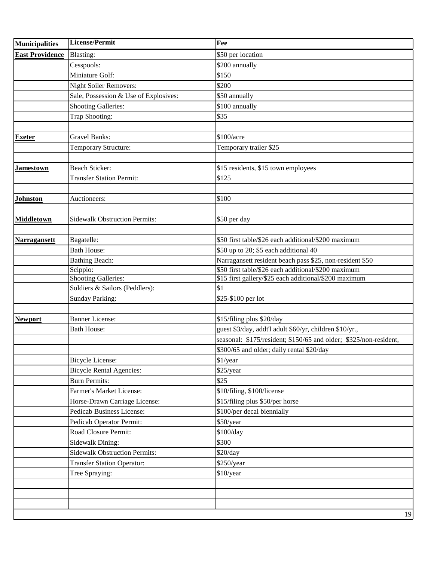| <b>Municipalities</b>  | <b>License/Permit</b>                 | Fee                                                               |
|------------------------|---------------------------------------|-------------------------------------------------------------------|
| <b>East Providence</b> | <b>Blasting:</b>                      | \$50 per location                                                 |
|                        | Cesspools:                            | \$200 annually                                                    |
|                        | Miniature Golf:                       | \$150                                                             |
|                        | <b>Night Soiler Removers:</b>         | \$200                                                             |
|                        | Sale, Possession & Use of Explosives: | \$50 annually                                                     |
|                        | <b>Shooting Galleries:</b>            | \$100 annually                                                    |
|                        | Trap Shooting:                        | \$35                                                              |
|                        |                                       |                                                                   |
| <b>Exeter</b>          | <b>Gravel Banks:</b>                  | \$100/acre                                                        |
|                        | Temporary Structure:                  | Temporary trailer \$25                                            |
| Jamestown              | <b>Beach Sticker:</b>                 | \$15 residents, \$15 town employees                               |
|                        | <b>Transfer Station Permit:</b>       | \$125                                                             |
|                        |                                       |                                                                   |
| <b>Johnston</b>        | Auctioneers:                          | \$100                                                             |
|                        |                                       |                                                                   |
| <b>Middletown</b>      | <b>Sidewalk Obstruction Permits:</b>  | \$50 per day                                                      |
| <b>Narragansett</b>    | Bagatelle:                            | \$50 first table/\$26 each additional/\$200 maximum               |
|                        | <b>Bath House:</b>                    | \$50 up to 20; \$5 each additional 40                             |
|                        | <b>Bathing Beach:</b>                 | Narragansett resident beach pass \$25, non-resident \$50          |
|                        | Scippio:                              | \$50 first table/\$26 each additional/\$200 maximum               |
|                        | Shooting Galleries:                   | \$15 first gallery/\$25 each additional/\$200 maximum             |
|                        | Soldiers & Sailors (Peddlers):        | \$1                                                               |
|                        | <b>Sunday Parking:</b>                | \$25-\$100 per lot                                                |
|                        |                                       |                                                                   |
| <b>Newport</b>         | <b>Banner License:</b>                | \$15/filing plus \$20/day                                         |
|                        | <b>Bath House:</b>                    | guest \$3/day, addt'l adult \$60/yr, children \$10/yr.,           |
|                        |                                       | seasonal: \$175/resident; \$150/65 and older; \$325/non-resident, |
|                        |                                       | \$300/65 and older; daily rental \$20/day                         |
|                        | <b>Bicycle License:</b>               | \$1/year                                                          |
|                        | <b>Bicycle Rental Agencies:</b>       | \$25/year                                                         |
|                        | <b>Burn Permits:</b>                  | \$25                                                              |
|                        | Farmer's Market License:              | \$10/filing, \$100/license                                        |
|                        | Horse-Drawn Carriage License:         | \$15/filing plus \$50/per horse                                   |
|                        | <b>Pedicab Business License:</b>      | \$100/per decal biennially                                        |
|                        | Pedicab Operator Permit:              | \$50/year                                                         |
|                        | Road Closure Permit:                  | \$100/day                                                         |
|                        | Sidewalk Dining:                      | \$300                                                             |
|                        | <b>Sidewalk Obstruction Permits:</b>  | \$20/day                                                          |
|                        | <b>Transfer Station Operator:</b>     | \$250/year                                                        |
|                        | Tree Spraying:                        | \$10/year                                                         |
|                        |                                       |                                                                   |
|                        |                                       |                                                                   |
|                        |                                       |                                                                   |
|                        |                                       | 19                                                                |